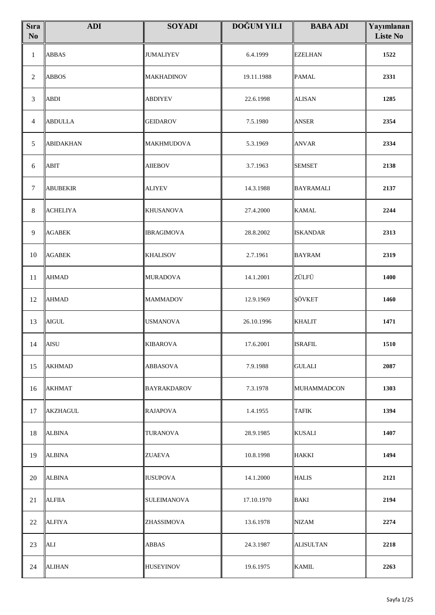| <b>S</b> ıra<br>$\mathbf{N}\mathbf{o}$ | <b>ADI</b>       | <b>SOYADI</b>      | <b>DOĞUM YILI</b> | <b>BABA ADI</b>  | Yayımlanan<br><b>Liste No</b> |
|----------------------------------------|------------------|--------------------|-------------------|------------------|-------------------------------|
| $\mathbf{1}$                           | <b>ABBAS</b>     | <b>JUMALIYEV</b>   | 6.4.1999          | <b>EZELHAN</b>   | 1522                          |
| $\sqrt{2}$                             | <b>ABBOS</b>     | MAKHADINOV         | 19.11.1988        | <b>PAMAL</b>     | 2331                          |
| 3                                      | <b>ABDI</b>      | <b>ABDIYEV</b>     | 22.6.1998         | <b>ALISAN</b>    | 1285                          |
| 4                                      | <b>ABDULLA</b>   | <b>GEIDAROV</b>    | 7.5.1980          | <b>ANSER</b>     | 2354                          |
| $\mathfrak s$                          | <b>ABIDAKHAN</b> | <b>MAKHMUDOVA</b>  | 5.3.1969          | <b>ANVAR</b>     | 2334                          |
| 6                                      | <b>ABIT</b>      | <b>AIIEBOV</b>     | 3.7.1963          | <b>SEMSET</b>    | 2138                          |
| $\tau$                                 | <b>ABUBEKIR</b>  | <b>ALIYEV</b>      | 14.3.1988         | <b>BAYRAMALI</b> | 2137                          |
| 8                                      | <b>ACHELIYA</b>  | <b>KHUSANOVA</b>   | 27.4.2000         | <b>KAMAL</b>     | 2244                          |
| $\overline{9}$                         | <b>AGABEK</b>    | <b>IBRAGIMOVA</b>  | 28.8.2002         | <b>ISKANDAR</b>  | 2313                          |
| 10                                     | <b>AGABEK</b>    | <b>KHALISOV</b>    | 2.7.1961          | <b>BAYRAM</b>    | 2319                          |
| 11                                     | <b>AHMAD</b>     | <b>MURADOVA</b>    | 14.1.2001         | ZÜLFÜ            | 1400                          |
| 12                                     | AHMAD            | <b>MAMMADOV</b>    | 12.9.1969         | ŞÖVKET           | 1460                          |
| 13                                     | <b>AIGUL</b>     | <b>USMANOVA</b>    | 26.10.1996        | <b>KHALIT</b>    | 1471                          |
|                                        | $14$   AISU      | <b>KIBAROVA</b>    | 17.6.2001         | <b>ISRAFIL</b>   | 1510                          |
| 15                                     | <b>AKHMAD</b>    | ABBASOVA           | 7.9.1988          | <b>GULALI</b>    | 2087                          |
| 16                                     | <b>AKHMAT</b>    | BAYRAKDAROV        | 7.3.1978          | MUHAMMADCON      | 1303                          |
| 17                                     | <b>AKZHAGUL</b>  | <b>RAJAPOVA</b>    | 1.4.1955          | <b>TAFIK</b>     | 1394                          |
| 18                                     | <b>ALBINA</b>    | <b>TURANOVA</b>    | 28.9.1985         | <b>KUSALI</b>    | 1407                          |
| 19                                     | <b>ALBINA</b>    | ZUAEVA             | 10.8.1998         | <b>HAKKI</b>     | 1494                          |
| 20                                     | <b>ALBINA</b>    | <b>IUSUPOVA</b>    | 14.1.2000         | <b>HALIS</b>     | 2121                          |
| 21                                     | <b>ALFIIA</b>    | <b>SULEIMANOVA</b> | 17.10.1970        | <b>BAKI</b>      | 2194                          |
| 22                                     | <b>ALFIYA</b>    | ZHASSIMOVA         | 13.6.1978         | <b>NIZAM</b>     | 2274                          |
| 23                                     | ALI              | <b>ABBAS</b>       | 24.3.1987         | <b>ALISULTAN</b> | 2218                          |
| 24                                     | <b>ALIHAN</b>    | <b>HUSEYINOV</b>   | 19.6.1975         | <b>KAMIL</b>     | 2263                          |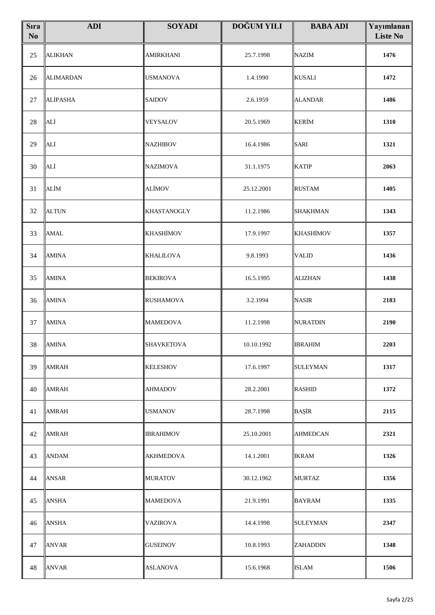| <b>S</b> ıra<br>No | <b>ADI</b>       | <b>SOYADI</b>      | <b>DOĞUM YILI</b> | <b>BABA ADI</b>  | Yayımlanan<br><b>Liste No</b> |
|--------------------|------------------|--------------------|-------------------|------------------|-------------------------------|
| 25                 | <b>ALIKHAN</b>   | <b>AMIRKHANI</b>   | 25.7.1998         | <b>NAZIM</b>     | 1476                          |
| 26                 | <b>ALIMARDAN</b> | <b>USMANOVA</b>    | 1.4.1990          | <b>KUSALI</b>    | 1472                          |
| 27                 | <b>ALIPASHA</b>  | <b>SAIDOV</b>      | 2.6.1959          | <b>ALANDAR</b>   | 1486                          |
| $28\,$             | ALİ              | VEYSALOV           | 20.5.1969         | <b>KERİM</b>     | 1310                          |
| 29                 | ALİ              | <b>NAZHIBOV</b>    | 16.4.1986         | <b>SARI</b>      | 1321                          |
| 30                 | ALİ              | <b>NAZIMOVA</b>    | 31.1.1975         | <b>KATIP</b>     | 2063                          |
| 31                 | ALİM             | ALİMOV             | 25.12.2001        | <b>RUSTAM</b>    | 1405                          |
| 32                 | <b>ALTUN</b>     | <b>KHASTANOGLY</b> | 11.2.1986         | <b>SHAKHMAN</b>  | 1343                          |
| 33                 | <b>AMAL</b>      | <b>KHASHİMOV</b>   | 17.9.1997         | <b>KHASHİMOV</b> | 1357                          |
| 34                 | <b>AMINA</b>     | <b>KHALILOVA</b>   | 9.8.1993          | <b>VALID</b>     | 1436                          |
| 35                 | <b>AMINA</b>     | <b>BEKIROVA</b>    | 16.5.1995         | <b>ALIZHAN</b>   | 1438                          |
| 36                 | <b>AMINA</b>     | <b>RUSHAMOVA</b>   | 3.2.1994          | <b>NASIR</b>     | 2183                          |
| 37                 | <b>AMINA</b>     | <b>MAMEDOVA</b>    | 11.2.1998         | <b>NURATDIN</b>  | 2190                          |
| 38                 | <b>AMINA</b>     | <b>SHAVKETOVA</b>  | 10.10.1992        | <b>IBRAHIM</b>   | 2203                          |
| 39                 | <b>AMRAH</b>     | <b>KELESHOV</b>    | 17.6.1997         | <b>SULEYMAN</b>  | 1317                          |
| 40                 | <b>AMRAH</b>     | <b>AHMADOV</b>     | 28.2.2001         | <b>RASHID</b>    | 1372                          |
| 41                 | <b>AMRAH</b>     | <b>USMANOV</b>     | 28.7.1998         | <b>BAŞİR</b>     | 2115                          |
| 42                 | <b>AMRAH</b>     | <b>IBRAHIMOV</b>   | 25.10.2001        | <b>AHMEDCAN</b>  | 2321                          |
| 43                 | <b>ANDAM</b>     | <b>AKHMEDOVA</b>   | 14.1.2001         | <b>IKRAM</b>     | 1326                          |
| 44                 | <b>ANSAR</b>     | <b>MURATOV</b>     | 30.12.1962        | <b>MURTAZ</b>    | 1356                          |
| 45                 | <b>ANSHA</b>     | <b>MAMEDOVA</b>    | 21.9.1991         | <b>BAYRAM</b>    | 1335                          |
| 46                 | <b>ANSHA</b>     | <b>VAZIROVA</b>    | 14.4.1998         | <b>SULEYMAN</b>  | 2347                          |
| 47                 | <b>ANVAR</b>     | <b>GUSEINOV</b>    | 10.8.1993         | <b>ZAHADDIN</b>  | 1348                          |
| 48                 | <b>ANVAR</b>     | <b>ASLANOVA</b>    | 15.6.1968         | <b>ISLAM</b>     | 1506                          |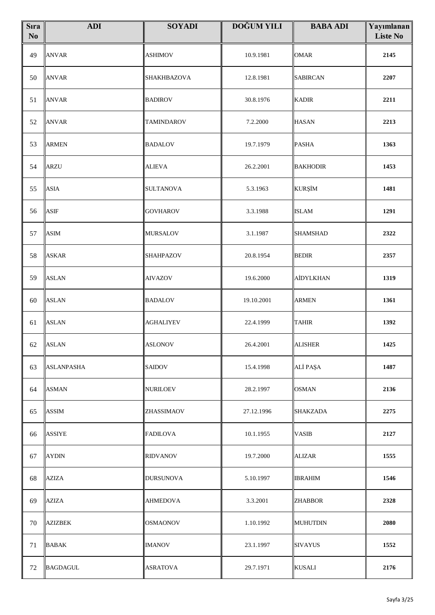| <b>S</b> ıra<br>N <sub>0</sub> | <b>ADI</b>        | <b>SOYADI</b>     | <b>DOĞUM YILI</b> | <b>BABA ADI</b> | Yayımlanan<br><b>Liste No</b> |
|--------------------------------|-------------------|-------------------|-------------------|-----------------|-------------------------------|
| 49                             | <b>ANVAR</b>      | <b>ASHIMOV</b>    | 10.9.1981         | <b>OMAR</b>     | 2145                          |
| 50                             | <b>ANVAR</b>      | SHAKHBAZOVA       | 12.8.1981         | <b>SABIRCAN</b> | 2207                          |
| 51                             | <b>ANVAR</b>      | <b>BADIROV</b>    | 30.8.1976         | <b>KADIR</b>    | 2211                          |
| 52                             | <b>ANVAR</b>      | <b>TAMINDAROV</b> | 7.2.2000          | <b>HASAN</b>    | 2213                          |
| 53                             | <b>ARMEN</b>      | <b>BADALOV</b>    | 19.7.1979         | <b>PASHA</b>    | 1363                          |
| 54                             | <b>ARZU</b>       | <b>ALIEVA</b>     | 26.2.2001         | <b>BAKHODIR</b> | 1453                          |
| 55                             | <b>ASIA</b>       | <b>SULTANOVA</b>  | 5.3.1963          | <b>KURŞİM</b>   | 1481                          |
| 56                             | <b>ASIF</b>       | <b>GOVHAROV</b>   | 3.3.1988          | <b>ISLAM</b>    | 1291                          |
| 57                             | ASIM              | <b>MURSALOV</b>   | 3.1.1987          | <b>SHAMSHAD</b> | 2322                          |
| 58                             | <b>ASKAR</b>      | SHAHPAZOV         | 20.8.1954         | <b>BEDIR</b>    | 2357                          |
| 59                             | <b>ASLAN</b>      | <b>AIVAZOV</b>    | 19.6.2000         | AİDYLKHAN       | 1319                          |
| 60                             | <b>ASLAN</b>      | <b>BADALOV</b>    | 19.10.2001        | <b>ARMEN</b>    | 1361                          |
| 61                             | <b>ASLAN</b>      | <b>AGHALIYEV</b>  | 22.4.1999         | <b>TAHIR</b>    | 1392                          |
| 62                             | <b>ASLAN</b>      | <b>ASLONOV</b>    | 26.4.2001         | <b>ALISHER</b>  | 1425                          |
| 63                             | <b>ASLANPASHA</b> | <b>SAIDOV</b>     | 15.4.1998         | ALİ PAŞA        | 1487                          |
| 64                             | <b>ASMAN</b>      | <b>NURILOEV</b>   | 28.2.1997         | <b>OSMAN</b>    | 2136                          |
| 65                             | <b>ASSIM</b>      | ZHASSIMAOV        | 27.12.1996        | SHAKZADA        | 2275                          |
| 66                             | ASSIYE            | <b>FADILOVA</b>   | 10.1.1955         | <b>VASIB</b>    | 2127                          |
| 67                             | <b>AYDIN</b>      | <b>RIDVANOV</b>   | 19.7.2000         | <b>ALIZAR</b>   | 1555                          |
| 68                             | <b>AZIZA</b>      | <b>DURSUNOVA</b>  | 5.10.1997         | <b>IBRAHIM</b>  | 1546                          |
| 69                             | AZIZA             | <b>AHMEDOVA</b>   | 3.3.2001          | <b>ZHABBOR</b>  | 2328                          |
| 70                             | <b>AZIZBEK</b>    | <b>OSMAONOV</b>   | 1.10.1992         | <b>MUHUTDIN</b> | 2080                          |
| 71                             | <b>BABAK</b>      | <b>IMANOV</b>     | 23.1.1997         | <b>SIVAYUS</b>  | 1552                          |
| 72                             | <b>BAGDAGUL</b>   | <b>ASRATOVA</b>   | 29.7.1971         | <b>KUSALI</b>   | 2176                          |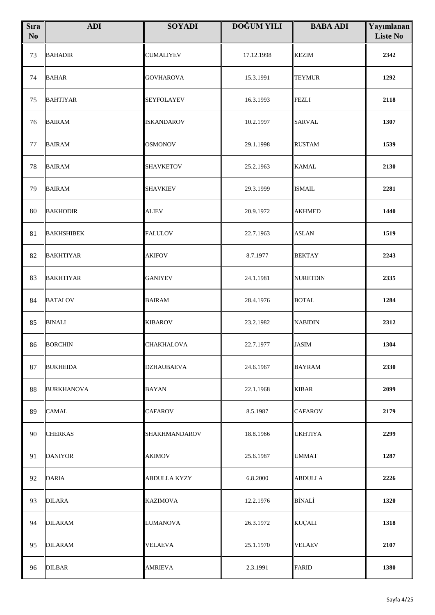| <b>S</b> ıra<br>$\mathbf{N}\mathbf{o}$ | <b>ADI</b>        | <b>SOYADI</b>       | <b>DOĞUM YILI</b> | <b>BABA ADI</b> | Yayımlanan<br><b>Liste No</b> |
|----------------------------------------|-------------------|---------------------|-------------------|-----------------|-------------------------------|
| 73                                     | <b>BAHADIR</b>    | <b>CUMALIYEV</b>    | 17.12.1998        | <b>KEZIM</b>    | 2342                          |
| 74                                     | <b>BAHAR</b>      | <b>GOVHAROVA</b>    | 15.3.1991         | <b>TEYMUR</b>   | 1292                          |
| 75                                     | <b>BAHTIYAR</b>   | SEYFOLAYEV          | 16.3.1993         | <b>FEZLI</b>    | 2118                          |
| 76                                     | <b>BAIRAM</b>     | <b>ISKANDAROV</b>   | 10.2.1997         | <b>SARVAL</b>   | 1307                          |
| 77                                     | <b>BAIRAM</b>     | OSMONOV             | 29.1.1998         | <b>RUSTAM</b>   | 1539                          |
| 78                                     | <b>BAIRAM</b>     | <b>SHAVKETOV</b>    | 25.2.1963         | <b>KAMAL</b>    | 2130                          |
| 79                                     | <b>BAIRAM</b>     | <b>SHAVKIEV</b>     | 29.3.1999         | <b>ISMAIL</b>   | 2281                          |
| 80                                     | <b>BAKHODIR</b>   | <b>ALIEV</b>        | 20.9.1972         | <b>AKHMED</b>   | 1440                          |
| 81                                     | <b>BAKHSHIBEK</b> | <b>FALULOV</b>      | 22.7.1963         | <b>ASLAN</b>    | 1519                          |
| 82                                     | <b>BAKHTIYAR</b>  | <b>AKIFOV</b>       | 8.7.1977          | <b>BEKTAY</b>   | 2243                          |
| 83                                     | <b>BAKHTIYAR</b>  | <b>GANIYEV</b>      | 24.1.1981         | NURETDIN        | 2335                          |
| 84                                     | <b>BATALOV</b>    | <b>BAIRAM</b>       | 28.4.1976         | <b>BOTAL</b>    | 1284                          |
| 85                                     | <b>BINALI</b>     | <b>KIBAROV</b>      | 23.2.1982         | <b>NABIDIN</b>  | 2312                          |
|                                        | 86 BORCHIN        | <b>CHAKHALOVA</b>   | 22.7.1977         | <b>JASIM</b>    | 1304                          |
| 87                                     | <b>BUKHEIDA</b>   | DZHAUBAEVA          | 24.6.1967         | <b>BAYRAM</b>   | 2330                          |
| 88                                     | <b>BURKHANOVA</b> | <b>BAYAN</b>        | 22.1.1968         | <b>KIBAR</b>    | 2099                          |
| 89                                     | <b>CAMAL</b>      | <b>CAFAROV</b>      | 8.5.1987          | <b>CAFAROV</b>  | 2179                          |
| 90                                     | <b>CHERKAS</b>    | SHAKHMANDAROV       | 18.8.1966         | <b>UKHTIYA</b>  | 2299                          |
| 91                                     | <b>DANIYOR</b>    | <b>AKIMOV</b>       | 25.6.1987         | <b>UMMAT</b>    | 1287                          |
| 92                                     | <b>DARIA</b>      | <b>ABDULLA KYZY</b> | 6.8.2000          | <b>ABDULLA</b>  | 2226                          |
| 93                                     | <b>DILARA</b>     | <b>KAZIMOVA</b>     | 12.2.1976         | <b>BİNALİ</b>   | 1320                          |
| 94                                     | <b>DILARAM</b>    | <b>LUMANOVA</b>     | 26.3.1972         | <b>KUÇALI</b>   | 1318                          |
| 95                                     | <b>DILARAM</b>    | VELAEVA             | 25.1.1970         | <b>VELAEV</b>   | 2107                          |
| 96                                     | <b>DILBAR</b>     | <b>AMRIEVA</b>      | 2.3.1991          | <b>FARID</b>    | 1380                          |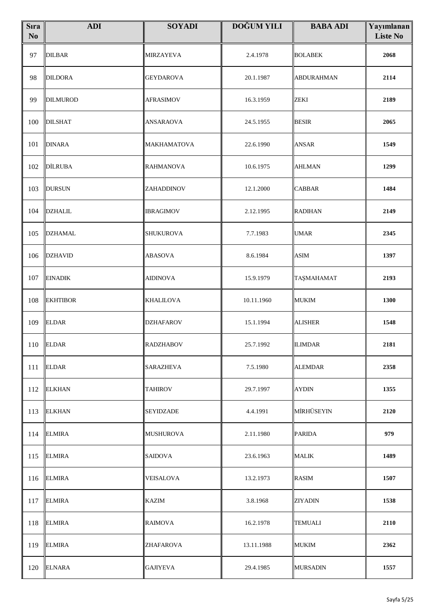| <b>S</b> ıra<br>$\mathbf{N}\mathbf{o}$ | <b>ADI</b>      | <b>SOYADI</b>      | <b>DOĞUM YILI</b> | <b>BABA ADI</b>   | Yayımlanan<br><b>Liste No</b> |
|----------------------------------------|-----------------|--------------------|-------------------|-------------------|-------------------------------|
| 97                                     | <b>DILBAR</b>   | <b>MIRZAYEVA</b>   | 2.4.1978          | <b>BOLABEK</b>    | 2068                          |
| 98                                     | <b>DILDORA</b>  | <b>GEYDAROVA</b>   | 20.1.1987         | <b>ABDURAHMAN</b> | 2114                          |
| 99                                     | <b>DILMUROD</b> | <b>AFRASIMOV</b>   | 16.3.1959         | <b>ZEKI</b>       | 2189                          |
| 100                                    | <b>DILSHAT</b>  | ANSARAOVA          | 24.5.1955         | <b>BESIR</b>      | 2065                          |
| 101                                    | <b>DINARA</b>   | <b>MAKHAMATOVA</b> | 22.6.1990         | <b>ANSAR</b>      | 1549                          |
| 102                                    | <b>DİLRUBA</b>  | <b>RAHMANOVA</b>   | 10.6.1975         | <b>AHLMAN</b>     | 1299                          |
| 103                                    | <b>DURSUN</b>   | ZAHADDINOV         | 12.1.2000         | <b>CABBAR</b>     | 1484                          |
| 104                                    | <b>DZHALIL</b>  | <b>IBRAGIMOV</b>   | 2.12.1995         | <b>RADIHAN</b>    | 2149                          |
| 105                                    | <b>DZHAMAL</b>  | <b>SHUKUROVA</b>   | 7.7.1983          | <b>UMAR</b>       | 2345                          |
| 106                                    | <b>DZHAVID</b>  | <b>ABASOVA</b>     | 8.6.1984          | <b>ASIM</b>       | 1397                          |
| 107                                    | <b>EINADIK</b>  | <b>AIDINOVA</b>    | 15.9.1979         | TAŞMAHAMAT        | 2193                          |
| 108                                    | <b>EKHTIBOR</b> | <b>KHALILOVA</b>   | 10.11.1960        | <b>MUKIM</b>      | 1300                          |
| 109                                    | <b>ELDAR</b>    | <b>DZHAFAROV</b>   | 15.1.1994         | <b>ALISHER</b>    | 1548                          |
|                                        | 110 ELDAR       | <b>RADZHABOV</b>   | 25.7.1992         | <b>ILIMDAR</b>    | 2181                          |
| 111                                    | <b>ELDAR</b>    | SARAZHEVA          | 7.5.1980          | <b>ALEMDAR</b>    | 2358                          |
| 112                                    | <b>ELKHAN</b>   | <b>TAHIROV</b>     | 29.7.1997         | <b>AYDIN</b>      | 1355                          |
| 113                                    | <b>ELKHAN</b>   | <b>SEYIDZADE</b>   | 4.4.1991          | MİRHÜSEYIN        | 2120                          |
| 114                                    | <b>ELMIRA</b>   | MUSHUROVA          | 2.11.1980         | <b>PARIDA</b>     | 979                           |
| 115                                    | <b>ELMIRA</b>   | SAIDOVA            | 23.6.1963         | <b>MALIK</b>      | 1489                          |
| 116                                    | <b>ELMIRA</b>   | <b>VEISALOVA</b>   | 13.2.1973         | <b>RASIM</b>      | 1507                          |
| 117                                    | <b>ELMIRA</b>   | <b>KAZIM</b>       | 3.8.1968          | <b>ZIYADIN</b>    | 1538                          |
| 118                                    | <b>ELMIRA</b>   | RAIMOVA            | 16.2.1978         | TEMUALI           | 2110                          |
| 119                                    | <b>ELMIRA</b>   | ZHAFAROVA          | 13.11.1988        | <b>MUKIM</b>      | 2362                          |
| 120                                    | <b>ELNARA</b>   | <b>GAJIYEVA</b>    | 29.4.1985         | <b>MURSADIN</b>   | 1557                          |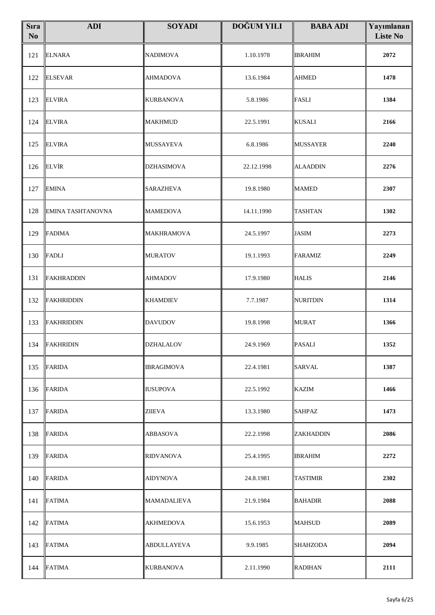| <b>S</b> ıra<br>$\mathbf{N}\mathbf{o}$ | <b>ADI</b>               | <b>SOYADI</b>      | <b>DOĞUM YILI</b> | <b>BABA ADI</b> | Yayımlanan<br><b>Liste No</b> |
|----------------------------------------|--------------------------|--------------------|-------------------|-----------------|-------------------------------|
| 121                                    | <b>ELNARA</b>            | <b>NADIMOVA</b>    | 1.10.1978         | <b>IBRAHIM</b>  | 2072                          |
| 122                                    | <b>ELSEVAR</b>           | <b>AHMADOVA</b>    | 13.6.1984         | <b>AHMED</b>    | 1478                          |
| 123                                    | <b>ELVIRA</b>            | <b>KURBANOVA</b>   | 5.8.1986          | <b>FASLI</b>    | 1384                          |
| 124                                    | <b>ELVIRA</b>            | <b>MAKHMUD</b>     | 22.5.1991         | <b>KUSALI</b>   | 2166                          |
| 125                                    | <b>ELVIRA</b>            | <b>MUSSAYEVA</b>   | 6.8.1986          | <b>MUSSAYER</b> | 2240                          |
| 126                                    | <b>ELVIR</b>             | <b>DZHASIMOVA</b>  | 22.12.1998        | <b>ALAADDIN</b> | 2276                          |
| 127                                    | <b>EMINA</b>             | <b>SARAZHEVA</b>   | 19.8.1980         | <b>MAMED</b>    | 2307                          |
| 128                                    | <b>EMINA TASHTANOVNA</b> | <b>MAMEDOVA</b>    | 14.11.1990        | <b>TASHTAN</b>  | 1302                          |
| 129                                    | <b>FADIMA</b>            | <b>MAKHRAMOVA</b>  | 24.5.1997         | <b>JASIM</b>    | 2273                          |
| 130                                    | <b>FADLI</b>             | <b>MURATOV</b>     | 19.1.1993         | <b>FARAMIZ</b>  | 2249                          |
| 131                                    | <b>FAKHRADDIN</b>        | AHMADOV            | 17.9.1980         | <b>HALIS</b>    | 2146                          |
| 132                                    | FAKHRIDDIN               | <b>KHAMDIEV</b>    | 7.7.1987          | <b>NURITDIN</b> | 1314                          |
| 133                                    | FAKHRIDDIN               | <b>DAVUDOV</b>     | 19.8.1998         | <b>MURAT</b>    | 1366                          |
|                                        | 134 FAKHRIDIN            | <b>DZHALALOV</b>   | 24.9.1969         | <b>PASALI</b>   | 1352                          |
| 135                                    | <b>FARIDA</b>            | IBRAGIMOVA         | 22.4.1981         | SARVAL          | 1387                          |
| 136                                    | <b>FARIDA</b>            | IUSUPOVA           | 22.5.1992         | KAZIM           | 1466                          |
| 137                                    | <b>FARIDA</b>            | ZIIEVA             | 13.3.1980         | SAHPAZ          | 1473                          |
| 138                                    | <b>FARIDA</b>            | ABBASOVA           | 22.2.1998         | ZAKHADDIN       | 2086                          |
| 139                                    | <b>FARIDA</b>            | <b>RIDVANOVA</b>   | 25.4.1995         | <b>IBRAHIM</b>  | 2272                          |
| 140                                    | <b>FARIDA</b>            | AIDYNOVA           | 24.8.1981         | <b>TASTIMIR</b> | 2302                          |
| 141                                    | <b>FATIMA</b>            | <b>MAMADALIEVA</b> | 21.9.1984         | <b>BAHADIR</b>  | 2088                          |
| 142                                    | <b>FATIMA</b>            | <b>AKHMEDOVA</b>   | 15.6.1953         | MAHSUD          | 2089                          |
| 143                                    | <b>FATIMA</b>            | ABDULLAYEVA        | 9.9.1985          | <b>SHAHZODA</b> | 2094                          |
| 144                                    | <b>FATIMA</b>            | <b>KURBANOVA</b>   | 2.11.1990         | <b>RADIHAN</b>  | 2111                          |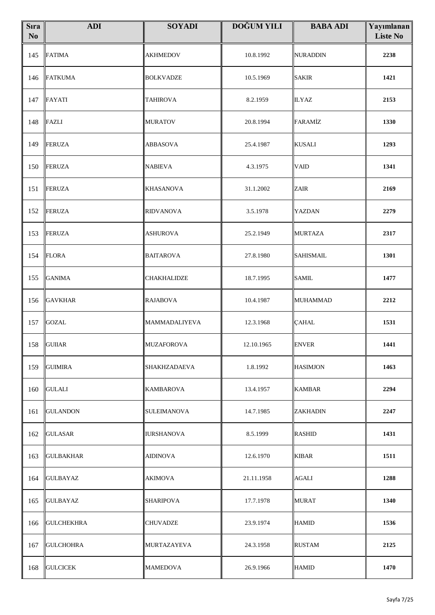| <b>S</b> ıra<br>$\mathbf{N}\mathbf{o}$ | <b>ADI</b>        | <b>SOYADI</b>     | <b>DOĞUM YILI</b> | <b>BABA ADI</b>  | Yayımlanan<br><b>Liste No</b> |
|----------------------------------------|-------------------|-------------------|-------------------|------------------|-------------------------------|
| 145                                    | <b>FATIMA</b>     | <b>AKHMEDOV</b>   | 10.8.1992         | <b>NURADDIN</b>  | 2238                          |
| 146                                    | <b>FATKUMA</b>    | <b>BOLKVADZE</b>  | 10.5.1969         | <b>SAKIR</b>     | 1421                          |
| 147                                    | <b>FAYATI</b>     | <b>TAHIROVA</b>   | 8.2.1959          | <b>ILYAZ</b>     | 2153                          |
| 148                                    | <b>FAZLI</b>      | <b>MURATOV</b>    | 20.8.1994         | FARAMİZ          | 1330                          |
| 149                                    | FERUZA            | <b>ABBASOVA</b>   | 25.4.1987         | <b>KUSALI</b>    | 1293                          |
| 150                                    | FERUZA            | <b>NABIEVA</b>    | 4.3.1975          | <b>VAID</b>      | 1341                          |
| 151                                    | <b>FERUZA</b>     | <b>KHASANOVA</b>  | 31.1.2002         | ZAIR             | 2169                          |
| 152                                    | FERUZA            | <b>RIDVANOVA</b>  | 3.5.1978          | YAZDAN           | 2279                          |
| 153                                    | FERUZA            | <b>ASHUROVA</b>   | 25.2.1949         | <b>MURTAZA</b>   | 2317                          |
| 154                                    | <b>FLORA</b>      | <b>BAITAROVA</b>  | 27.8.1980         | <b>SAHISMAIL</b> | 1301                          |
| 155                                    | <b>GANIMA</b>     | CHAKHALIDZE       | 18.7.1995         | <b>SAMIL</b>     | 1477                          |
| 156                                    | <b>GAVKHAR</b>    | <b>RAJABOVA</b>   | 10.4.1987         | <b>MUHAMMAD</b>  | 2212                          |
| 157                                    | <b>GOZAL</b>      | MAMMADALIYEVA     | 12.3.1968         | ÇAHAL            | 1531                          |
|                                        | 158 GUIIAR        | <b>MUZAFOROVA</b> | 12.10.1965        | <b>ENVER</b>     | 1441                          |
| 159                                    | <b>GUIMIRA</b>    | SHAKHZADAEVA      | 1.8.1992          | <b>HASIMJON</b>  | 1463                          |
| 160                                    | <b>GULALI</b>     | KAMBAROVA         | 13.4.1957         | KAMBAR           | 2294                          |
| 161                                    | <b>GULANDON</b>   | SULEIMANOVA       | 14.7.1985         | <b>ZAKHADIN</b>  | 2247                          |
| 162                                    | <b>GULASAR</b>    | IURSHANOVA        | 8.5.1999          | <b>RASHID</b>    | 1431                          |
| 163                                    | <b>GULBAKHAR</b>  | <b>AIDINOVA</b>   | 12.6.1970         | <b>KIBAR</b>     | 1511                          |
| 164                                    | <b>GULBAYAZ</b>   | AKIMOVA           | 21.11.1958        | AGALI            | 1288                          |
| 165                                    | <b>GULBAYAZ</b>   | <b>SHARIPOVA</b>  | 17.7.1978         | <b>MURAT</b>     | 1340                          |
| 166                                    | <b>GULCHEKHRA</b> | CHUVADZE          | 23.9.1974         | <b>HAMID</b>     | 1536                          |
| 167                                    | <b>GULCHOHRA</b>  | MURTAZAYEVA       | 24.3.1958         | <b>RUSTAM</b>    | 2125                          |
| 168                                    | <b>GULCICEK</b>   | <b>MAMEDOVA</b>   | 26.9.1966         | <b>HAMID</b>     | 1470                          |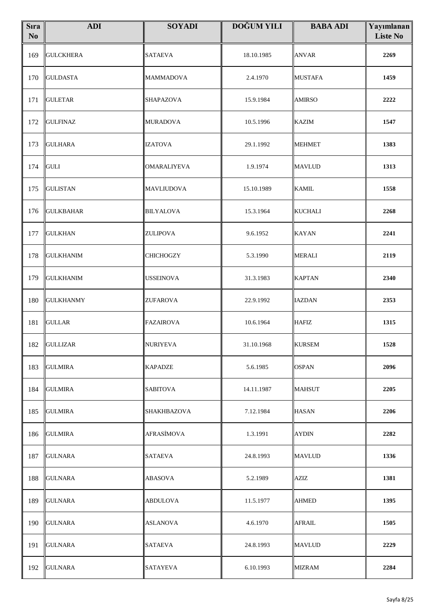| <b>S</b> ıra<br>N <sub>0</sub> | <b>ADI</b>       | <b>SOYADI</b>      | <b>DOĞUM YILI</b> | <b>BABA ADI</b> | Yayımlanan<br><b>Liste No</b> |
|--------------------------------|------------------|--------------------|-------------------|-----------------|-------------------------------|
| 169                            | <b>GULCKHERA</b> | <b>SATAEVA</b>     | 18.10.1985        | <b>ANVAR</b>    | 2269                          |
| 170                            | <b>GULDASTA</b>  | <b>MAMMADOVA</b>   | 2.4.1970          | <b>MUSTAFA</b>  | 1459                          |
| 171                            | <b>GULETAR</b>   | SHAPAZOVA          | 15.9.1984         | <b>AMIRSO</b>   | 2222                          |
| 172                            | <b>GULFINAZ</b>  | <b>MURADOVA</b>    | 10.5.1996         | <b>KAZIM</b>    | 1547                          |
| 173                            | <b>GULHARA</b>   | <b>IZATOVA</b>     | 29.1.1992         | <b>MEHMET</b>   | 1383                          |
| 174                            | <b>GULI</b>      | <b>OMARALIYEVA</b> | 1.9.1974          | <b>MAVLUD</b>   | 1313                          |
| 175                            | <b>GULISTAN</b>  | <b>MAVLIUDOVA</b>  | 15.10.1989        | <b>KAMIL</b>    | 1558                          |
| 176                            | <b>GULKBAHAR</b> | <b>BILYALOVA</b>   | 15.3.1964         | <b>KUCHALI</b>  | 2268                          |
| 177                            | <b>GULKHAN</b>   | <b>ZULIPOVA</b>    | 9.6.1952          | <b>KAYAN</b>    | 2241                          |
| 178                            | <b>GULKHANIM</b> | <b>CHICHOGZY</b>   | 5.3.1990          | <b>MERALI</b>   | 2119                          |
| 179                            | <b>GULKHANIM</b> | <b>USSEINOVA</b>   | 31.3.1983         | <b>KAPTAN</b>   | 2340                          |
| 180                            | <b>GULKHANMY</b> | <b>ZUFAROVA</b>    | 22.9.1992         | <b>IAZDAN</b>   | 2353                          |
| 181                            | <b>GULLAR</b>    | <b>FAZAIROVA</b>   | 10.6.1964         | <b>HAFIZ</b>    | 1315                          |
| 182                            | <b>GULLIZAR</b>  | <b>NURIYEVA</b>    | 31.10.1968        | <b>KURSEM</b>   | 1528                          |
| 183                            | <b>GULMIRA</b>   | <b>KAPADZE</b>     | 5.6.1985          | <b>OSPAN</b>    | 2096                          |
| 184                            | <b>GULMIRA</b>   | SABITOVA           | 14.11.1987        | MAHSUT          | 2205                          |
| 185                            | <b>GULMIRA</b>   | <b>SHAKHBAZOVA</b> | 7.12.1984         | <b>HASAN</b>    | 2206                          |
| 186                            | <b>GULMIRA</b>   | AFRASİMOVA         | 1.3.1991          | <b>AYDIN</b>    | 2282                          |
| 187                            | <b>GULNARA</b>   | <b>SATAEVA</b>     | 24.8.1993         | <b>MAVLUD</b>   | 1336                          |
| 188                            | <b>GULNARA</b>   | ABASOVA            | 5.2.1989          | <b>AZIZ</b>     | 1381                          |
| 189                            | <b>GULNARA</b>   | ABDULOVA           | 11.5.1977         | AHMED           | 1395                          |
| 190                            | <b>GULNARA</b>   | ASLANOVA           | 4.6.1970          | AFRAIL          | 1505                          |
| 191                            | <b>GULNARA</b>   | SATAEVA            | 24.8.1993         | MAVLUD          | 2229                          |
| 192                            | <b>GULNARA</b>   | <b>SATAYEVA</b>    | 6.10.1993         | <b>MIZRAM</b>   | 2284                          |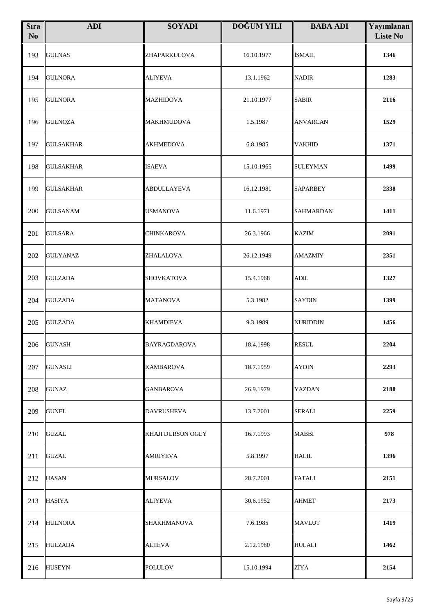| <b>S</b> ıra<br>N <sub>o</sub> | <b>ADI</b>       | <b>SOYADI</b>            | <b>DOĞUM YILI</b> | <b>BABA ADI</b>  | Yayımlanan<br><b>Liste No</b> |
|--------------------------------|------------------|--------------------------|-------------------|------------------|-------------------------------|
| 193                            | <b>GULNAS</b>    | ZHAPARKULOVA             | 16.10.1977        | İSMAIL           | 1346                          |
| 194                            | <b>GULNORA</b>   | <b>ALIYEVA</b>           | 13.1.1962         | NADIR            | 1283                          |
| 195                            | <b>GULNORA</b>   | <b>MAZHIDOVA</b>         | 21.10.1977        | <b>SABIR</b>     | 2116                          |
| 196                            | <b>GULNOZA</b>   | <b>MAKHMUDOVA</b>        | 1.5.1987          | <b>ANVARCAN</b>  | 1529                          |
| 197                            | <b>GULSAKHAR</b> | <b>AKHMEDOVA</b>         | 6.8.1985          | <b>VAKHID</b>    | 1371                          |
| 198                            | <b>GULSAKHAR</b> | <b>ISAEVA</b>            | 15.10.1965        | SULEYMAN         | 1499                          |
| 199                            | <b>GULSAKHAR</b> | <b>ABDULLAYEVA</b>       | 16.12.1981        | <b>SAPARBEY</b>  | 2338                          |
| 200                            | <b>GULSANAM</b>  | <b>USMANOVA</b>          | 11.6.1971         | <b>SAHMARDAN</b> | 1411                          |
| 201                            | <b>GULSARA</b>   | <b>CHINKAROVA</b>        | 26.3.1966         | <b>KAZIM</b>     | 2091                          |
| 202                            | <b>GULYANAZ</b>  | ZHALALOVA                | 26.12.1949        | <b>AMAZMIY</b>   | 2351                          |
| 203                            | <b>GULZADA</b>   | <b>SHOVKATOVA</b>        | 15.4.1968         | ADIL             | 1327                          |
| 204                            | <b>GULZADA</b>   | <b>MATANOVA</b>          | 5.3.1982          | SAYDIN           | 1399                          |
| 205                            | <b>GULZADA</b>   | <b>KHAMDIEVA</b>         | 9.3.1989          | NURIDDIN         | 1456                          |
|                                | 206 GUNASH       | BAYRAGDAROVA             | 18.4.1998         | <b>RESUL</b>     | 2204                          |
| 207                            | <b>GUNASLI</b>   | <b>KAMBAROVA</b>         | 18.7.1959         | <b>AYDIN</b>     | 2293                          |
| 208                            | <b>GUNAZ</b>     | GANBAROVA                | 26.9.1979         | YAZDAN           | 2188                          |
| 209                            | <b>GUNEL</b>     | <b>DAVRUSHEVA</b>        | 13.7.2001         | SERALI           | 2259                          |
| 210                            | <b>GUZAL</b>     | <b>KHAJI DURSUN OGLY</b> | 16.7.1993         | MABBI            | 978                           |
| 211                            | <b>GUZAL</b>     | <b>AMRIYEVA</b>          | 5.8.1997          | <b>HALIL</b>     | 1396                          |
| 212                            | <b>HASAN</b>     | <b>MURSALOV</b>          | 28.7.2001         | <b>FATALI</b>    | 2151                          |
| 213                            | <b>HASIYA</b>    | <b>ALIYEVA</b>           | 30.6.1952         | <b>AHMET</b>     | 2173                          |
| 214                            | <b>HULNORA</b>   | <b>SHAKHMANOVA</b>       | 7.6.1985          | MAVLUT           | 1419                          |
| 215                            | <b>HULZADA</b>   | <b>ALIIEVA</b>           | 2.12.1980         | <b>HULALI</b>    | 1462                          |
| 216                            | <b>HUSEYN</b>    | <b>POLULOV</b>           | 15.10.1994        | ZİYA             | 2154                          |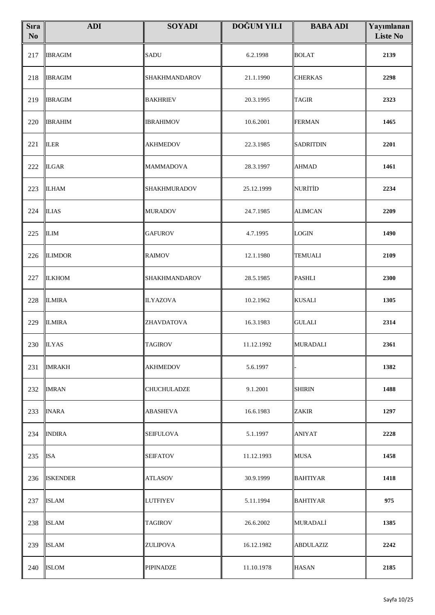| <b>S</b> ıra<br>No | <b>ADI</b>      | <b>SOYADI</b>    | DOĞUM YILI | <b>BABA ADI</b>  | Yayımlanan<br><b>Liste No</b> |
|--------------------|-----------------|------------------|------------|------------------|-------------------------------|
| 217                | <b>IBRAGIM</b>  | <b>SADU</b>      | 6.2.1998   | <b>BOLAT</b>     | 2139                          |
| 218                | <b>IBRAGIM</b>  | SHAKHMANDAROV    | 21.1.1990  | <b>CHERKAS</b>   | 2298                          |
| 219                | <b>IBRAGIM</b>  | <b>BAKHRIEV</b>  | 20.3.1995  | <b>TAGIR</b>     | 2323                          |
| 220                | <b>IBRAHIM</b>  | IBRAHIMOV        | 10.6.2001  | <b>FERMAN</b>    | 1465                          |
| 221                | <b>ILER</b>     | <b>AKHMEDOV</b>  | 22.3.1985  | <b>SADRITDIN</b> | 2201                          |
| 222                | <b>ILGAR</b>    | <b>MAMMADOVA</b> | 28.3.1997  | <b>AHMAD</b>     | 1461                          |
| 223                | <b>ILHAM</b>    | SHAKHMURADOV     | 25.12.1999 | <b>NURİTİD</b>   | 2234                          |
| 224                | <b>ILIAS</b>    | <b>MURADOV</b>   | 24.7.1985  | <b>ALIMCAN</b>   | 2209                          |
| 225                | <b>ILIM</b>     | <b>GAFUROV</b>   | 4.7.1995   | <b>LOGIN</b>     | 1490                          |
| 226                | <b>ILIMDOR</b>  | <b>RAIMOV</b>    | 12.1.1980  | <b>TEMUALI</b>   | 2109                          |
| 227                | <b>ILKHOM</b>   | SHAKHMANDAROV    | 28.5.1985  | <b>PASHLI</b>    | 2300                          |
| 228                | <b>ILMIRA</b>   | <b>ILYAZOVA</b>  | 10.2.1962  | <b>KUSALI</b>    | 1305                          |
| 229                | <b>ILMIRA</b>   | ZHAVDATOVA       | 16.3.1983  | <b>GULALI</b>    | 2314                          |
|                    | $230$ ILYAS     | <b>TAGIROV</b>   | 11.12.1992 | <b>MURADALI</b>  | 2361                          |
| 231                | <b>IMRAKH</b>   | AKHMEDOV         | 5.6.1997   |                  | 1382                          |
| 232                | <b>IMRAN</b>    | CHUCHULADZE      | 9.1.2001   | <b>SHIRIN</b>    | 1488                          |
| 233                | <b>INARA</b>    | ABASHEVA         | 16.6.1983  | <b>ZAKIR</b>     | 1297                          |
| 234                | <b>INDIRA</b>   | SEIFULOVA        | 5.1.1997   | <b>ANIYAT</b>    | 2228                          |
| 235                | <b>ISA</b>      | <b>SEIFATOV</b>  | 11.12.1993 | <b>MUSA</b>      | 1458                          |
| 236                | <b>ISKENDER</b> | ATLASOV          | 30.9.1999  | <b>BAHTIYAR</b>  | 1418                          |
| 237                | <b>ISLAM</b>    | <b>LUTFIYEV</b>  | 5.11.1994  | <b>BAHTIYAR</b>  | 975                           |
| 238                | <b>ISLAM</b>    | <b>TAGIROV</b>   | 26.6.2002  | <b>MURADALİ</b>  | 1385                          |
| 239                | <b>ISLAM</b>    | ZULIPOVA         | 16.12.1982 | <b>ABDULAZIZ</b> | 2242                          |
| 240                | <b>ISLOM</b>    | <b>PIPINADZE</b> | 11.10.1978 | <b>HASAN</b>     | 2185                          |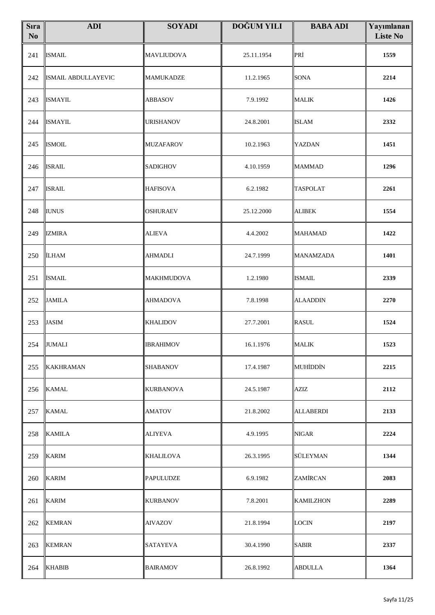| <b>S</b> ıra<br>$\mathbf{N}\mathbf{o}$ | <b>ADI</b>          | <b>SOYADI</b>     | <b>DOĞUM YILI</b> | <b>BABA ADI</b>  | Yayımlanan<br><b>Liste No</b> |
|----------------------------------------|---------------------|-------------------|-------------------|------------------|-------------------------------|
| 241                                    | <b>ISMAIL</b>       | <b>MAVLIUDOVA</b> | 25.11.1954        | PRİ              | 1559                          |
| 242                                    | ISMAIL ABDULLAYEVIC | <b>MAMUKADZE</b>  | 11.2.1965         | <b>SONA</b>      | 2214                          |
| 243                                    | <b>ISMAYIL</b>      | <b>ABBASOV</b>    | 7.9.1992          | <b>MALIK</b>     | 1426                          |
| 244                                    | <b>ISMAYIL</b>      | <b>URISHANOV</b>  | 24.8.2001         | <b>ISLAM</b>     | 2332                          |
| 245                                    | <b>ISMOIL</b>       | <b>MUZAFAROV</b>  | 10.2.1963         | YAZDAN           | 1451                          |
| 246                                    | <b>ISRAIL</b>       | SADIGHOV          | 4.10.1959         | <b>MAMMAD</b>    | 1296                          |
| 247                                    | <b>ISRAIL</b>       | <b>HAFISOVA</b>   | 6.2.1982          | <b>TASPOLAT</b>  | 2261                          |
| 248                                    | <b>IUNUS</b>        | OSHURAEV          | 25.12.2000        | <b>ALIBEK</b>    | 1554                          |
| 249                                    | <b>IZMIRA</b>       | <b>ALIEVA</b>     | 4.4.2002          | <b>MAHAMAD</b>   | 1422                          |
| 250                                    | <b>İLHAM</b>        | AHMADLI           | 24.7.1999         | <b>MANAMZADA</b> | 1401                          |
| 251                                    | <b>İSMAIL</b>       | <b>MAKHMUDOVA</b> | 1.2.1980          | <b>ISMAIL</b>    | 2339                          |
| 252                                    | <b>JAMILA</b>       | <b>AHMADOVA</b>   | 7.8.1998          | <b>ALAADDIN</b>  | 2270                          |
| 253                                    | <b>JASIM</b>        | <b>KHALIDOV</b>   | 27.7.2001         | <b>RASUL</b>     | 1524                          |
|                                        | 254 JUMALI          | <b>IBRAHIMOV</b>  | 16.1.1976         | <b>MALIK</b>     | 1523                          |
| 255                                    | <b>KAKHRAMAN</b>    | <b>SHABANOV</b>   | 17.4.1987         | MUHİDDİN         | 2215                          |
| 256                                    | <b>KAMAL</b>        | KURBANOVA         | 24.5.1987         | AZIZ             | 2112                          |
| 257                                    | <b>KAMAL</b>        | <b>AMATOV</b>     | 21.8.2002         | <b>ALLABERDI</b> | 2133                          |
| 258                                    | <b>KAMILA</b>       | ALIYEVA           | 4.9.1995          | <b>NIGAR</b>     | 2224                          |
| 259                                    | <b>KARIM</b>        | <b>KHALILOVA</b>  | 26.3.1995         | SÜLEYMAN         | 1344                          |
| 260                                    | <b>KARIM</b>        | <b>PAPULUDZE</b>  | 6.9.1982          | ZAMİRCAN         | 2083                          |
| 261                                    | <b>KARIM</b>        | <b>KURBANOV</b>   | 7.8.2001          | <b>KAMILZHON</b> | 2289                          |
| 262                                    | <b>KEMRAN</b>       | AIVAZOV           | 21.8.1994         | <b>LOCIN</b>     | 2197                          |
| 263                                    | <b>KEMRAN</b>       | SATAYEVA          | 30.4.1990         | <b>SABIR</b>     | 2337                          |
| 264                                    | <b>KHABIB</b>       | <b>BAIRAMOV</b>   | 26.8.1992         | <b>ABDULLA</b>   | 1364                          |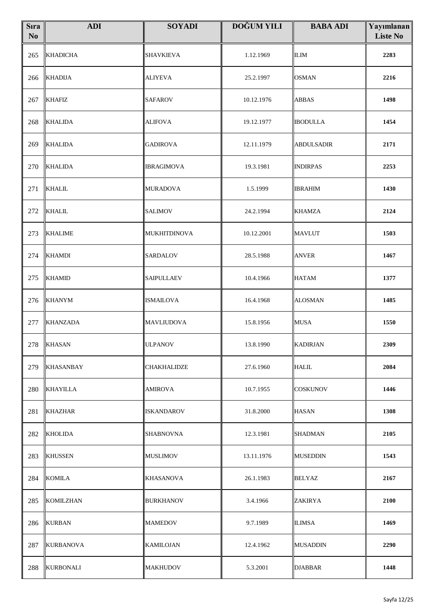| <b>S</b> ıra<br>$\mathbf{N}\mathbf{o}$ | <b>ADI</b>       | <b>SOYADI</b>      | <b>DOĞUM YILI</b> | <b>BABA ADI</b>   | Yayımlanan<br><b>Liste No</b> |
|----------------------------------------|------------------|--------------------|-------------------|-------------------|-------------------------------|
| 265                                    | <b>KHADICHA</b>  | <b>SHAVKIEVA</b>   | 1.12.1969         | <b>ILIM</b>       | 2283                          |
| 266                                    | <b>KHADIJA</b>   | <b>ALIYEVA</b>     | 25.2.1997         | <b>OSMAN</b>      | 2216                          |
| 267                                    | <b>KHAFIZ</b>    | <b>SAFAROV</b>     | 10.12.1976        | <b>ABBAS</b>      | 1498                          |
| 268                                    | <b>KHALIDA</b>   | <b>ALIFOVA</b>     | 19.12.1977        | <b>IBODULLA</b>   | 1454                          |
| 269                                    | <b>KHALIDA</b>   | <b>GADIROVA</b>    | 12.11.1979        | <b>ABDULSADIR</b> | 2171                          |
| 270                                    | <b>KHALIDA</b>   | <b>IBRAGIMOVA</b>  | 19.3.1981         | <b>INDIRPAS</b>   | 2253                          |
| 271                                    | <b>KHALIL</b>    | <b>MURADOVA</b>    | 1.5.1999          | <b>IBRAHIM</b>    | 1430                          |
| 272                                    | <b>KHALIL</b>    | <b>SALIMOV</b>     | 24.2.1994         | <b>KHAMZA</b>     | 2124                          |
| 273                                    | <b>KHALIME</b>   | MUKHITDINOVA       | 10.12.2001        | <b>MAVLUT</b>     | 1503                          |
| 274                                    | <b>KHAMDI</b>    | <b>SARDALOV</b>    | 28.5.1988         | <b>ANVER</b>      | 1467                          |
| 275                                    | <b>KHAMID</b>    | <b>SAIPULLAEV</b>  | 10.4.1966         | <b>HATAM</b>      | 1377                          |
| 276                                    | <b>KHANYM</b>    | <b>ISMAILOVA</b>   | 16.4.1968         | <b>ALOSMAN</b>    | 1485                          |
| 277                                    | <b>KHANZADA</b>  | <b>MAVLIUDOVA</b>  | 15.8.1956         | <b>MUSA</b>       | 1550                          |
| 278                                    | <b>KHASAN</b>    | <b>ULPANOV</b>     | 13.8.1990         | <b>KADIRJAN</b>   | 2309                          |
| 279                                    | <b>KHASANBAY</b> | <b>CHAKHALIDZE</b> | 27.6.1960         | <b>HALIL</b>      | 2084                          |
| 280                                    | <b>KHAYILLA</b>  | AMIROVA            | 10.7.1955         | <b>COSKUNOV</b>   | 1446                          |
| 281                                    | KHAZHAR          | ISKANDAROV         | 31.8.2000         | <b>HASAN</b>      | 1308                          |
| 282                                    | <b>KHOLIDA</b>   | <b>SHABNOVNA</b>   | 12.3.1981         | <b>SHADMAN</b>    | 2105                          |
| 283                                    | <b>KHUSSEN</b>   | <b>MUSLIMOV</b>    | 13.11.1976        | <b>MUSEDDIN</b>   | 1543                          |
| 284                                    | <b>KOMILA</b>    | <b>KHASANOVA</b>   | 26.1.1983         | <b>BELYAZ</b>     | 2167                          |
| 285                                    | <b>KOMILZHAN</b> | <b>BURKHANOV</b>   | 3.4.1966          | <b>ZAKIRYA</b>    | 2100                          |
| 286                                    | <b>KURBAN</b>    | MAMEDOV            | 9.7.1989          | <b>ILIMSA</b>     | 1469                          |
| 287                                    | KURBANOVA        | KAMILOJAN          | 12.4.1962         | <b>MUSADDIN</b>   | 2290                          |
| 288                                    | <b>KURBONALI</b> | <b>MAKHUDOV</b>    | 5.3.2001          | <b>DJABBAR</b>    | 1448                          |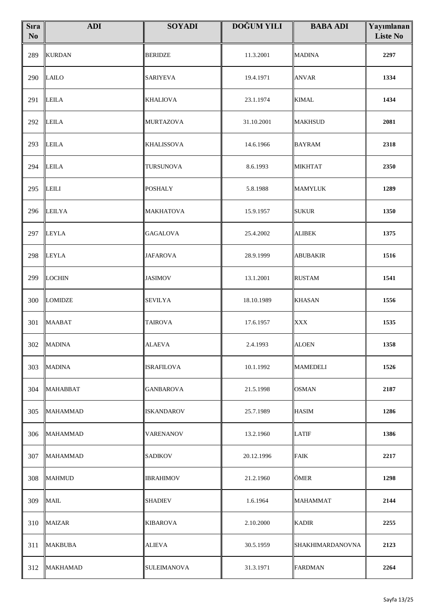| <b>S</b> ıra<br>No | <b>ADI</b>      | <b>SOYADI</b>     | <b>DOĞUM YILI</b> | <b>BABA ADI</b>         | Yayımlanan<br><b>Liste No</b> |
|--------------------|-----------------|-------------------|-------------------|-------------------------|-------------------------------|
| 289                | <b>KURDAN</b>   | <b>BERIDZE</b>    | 11.3.2001         | <b>MADINA</b>           | 2297                          |
| 290                | <b>LAILO</b>    | <b>SARIYEVA</b>   | 19.4.1971         | <b>ANVAR</b>            | 1334                          |
| 291                | <b>LEILA</b>    | <b>KHALIOVA</b>   | 23.1.1974         | <b>KIMAL</b>            | 1434                          |
| 292                | <b>LEILA</b>    | <b>MURTAZOVA</b>  | 31.10.2001        | <b>MAKHSUD</b>          | 2081                          |
| 293                | <b>LEILA</b>    | <b>KHALISSOVA</b> | 14.6.1966         | <b>BAYRAM</b>           | 2318                          |
| 294                | <b>LEILA</b>    | TURSUNOVA         | 8.6.1993          | <b>MIKHTAT</b>          | 2350                          |
| 295                | <b>LEILI</b>    | <b>POSHALY</b>    | 5.8.1988          | <b>MAMYLUK</b>          | 1289                          |
| 296                | <b>LEILYA</b>   | MAKHATOVA         | 15.9.1957         | <b>SUKUR</b>            | 1350                          |
| 297                | <b>LEYLA</b>    | <b>GAGALOVA</b>   | 25.4.2002         | <b>ALIBEK</b>           | 1375                          |
| 298                | <b>LEYLA</b>    | <b>JAFAROVA</b>   | 28.9.1999         | <b>ABUBAKIR</b>         | 1516                          |
| 299                | LOCHIN          | <b>JASIMOV</b>    | 13.1.2001         | <b>RUSTAM</b>           | 1541                          |
| 300                | <b>LOMIDZE</b>  | SEVILYA           | 18.10.1989        | <b>KHASAN</b>           | 1556                          |
| 301                | <b>MAABAT</b>   | <b>TAIROVA</b>    | 17.6.1957         | <b>XXX</b>              | 1535                          |
|                    | 302 MADINA      | <b>ALAEVA</b>     | 2.4.1993          | <b>ALOEN</b>            | 1358                          |
| 303                | <b>MADINA</b>   | <b>ISRAFILOVA</b> | 10.1.1992         | <b>MAMEDELI</b>         | 1526                          |
| 304                | <b>MAHABBAT</b> | GANBAROVA         | 21.5.1998         | <b>OSMAN</b>            | 2187                          |
| 305                | <b>MAHAMMAD</b> | <b>ISKANDAROV</b> | 25.7.1989         | <b>HASIM</b>            | 1286                          |
| 306                | <b>MAHAMMAD</b> | VARENANOV         | 13.2.1960         | <b>LATIF</b>            | 1386                          |
| 307                | <b>MAHAMMAD</b> | SADIKOV           | 20.12.1996        | <b>FAIK</b>             | 2217                          |
| 308                | <b>MAHMUD</b>   | IBRAHIMOV         | 21.2.1960         | ÖMER                    | 1298                          |
| 309                | <b>MAIL</b>     | <b>SHADIEV</b>    | 1.6.1964          | MAHAMMAT                | 2144                          |
| 310                | <b>MAIZAR</b>   | <b>KIBAROVA</b>   | 2.10.2000         | <b>KADIR</b>            | 2255                          |
| 311                | <b>MAKBUBA</b>  | <b>ALIEVA</b>     | 30.5.1959         | <b>SHAKHIMARDANOVNA</b> | 2123                          |
| 312                | <b>MAKHAMAD</b> | SULEIMANOVA       | 31.3.1971         | <b>FARDMAN</b>          | 2264                          |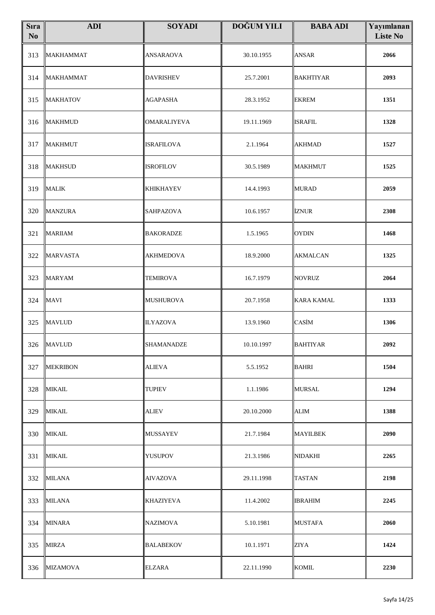| <b>S</b> ıra<br>N <sub>0</sub> | <b>ADI</b>       | <b>SOYADI</b>      | <b>DOĞUM YILI</b> | <b>BABA ADI</b>   | Yayımlanan<br><b>Liste No</b> |
|--------------------------------|------------------|--------------------|-------------------|-------------------|-------------------------------|
| 313                            | <b>MAKHAMMAT</b> | <b>ANSARAOVA</b>   | 30.10.1955        | <b>ANSAR</b>      | 2066                          |
| 314                            | <b>MAKHAMMAT</b> | <b>DAVRISHEV</b>   | 25.7.2001         | <b>BAKHTIYAR</b>  | 2093                          |
| 315                            | <b>MAKHATOV</b>  | <b>AGAPASHA</b>    | 28.3.1952         | <b>EKREM</b>      | 1351                          |
| 316                            | <b>MAKHMUD</b>   | <b>OMARALIYEVA</b> | 19.11.1969        | <b>ISRAFIL</b>    | 1328                          |
| 317                            | <b>MAKHMUT</b>   | <b>ISRAFILOVA</b>  | 2.1.1964          | <b>AKHMAD</b>     | 1527                          |
| 318                            | <b>MAKHSUD</b>   | <b>ISROFILOV</b>   | 30.5.1989         | <b>MAKHMUT</b>    | 1525                          |
| 319                            | <b>MALIK</b>     | <b>KHIKHAYEV</b>   | 14.4.1993         | <b>MURAD</b>      | 2059                          |
| 320                            | <b>MANZURA</b>   | <b>SAHPAZOVA</b>   | 10.6.1957         | İZNUR             | 2308                          |
| 321                            | <b>MARIIAM</b>   | <b>BAKORADZE</b>   | 1.5.1965          | <b>OYDIN</b>      | 1468                          |
| 322                            | <b>MARVASTA</b>  | <b>AKHMEDOVA</b>   | 18.9.2000         | <b>AKMALCAN</b>   | 1325                          |
| 323                            | <b>MARYAM</b>    | TEMIROVA           | 16.7.1979         | <b>NOVRUZ</b>     | 2064                          |
| 324                            | <b>MAVI</b>      | <b>MUSHUROVA</b>   | 20.7.1958         | <b>KARA KAMAL</b> | 1333                          |
| 325                            | <b>MAVLUD</b>    | <b>ILYAZOVA</b>    | 13.9.1960         | CASİM             | 1306                          |
|                                | 326 MAVLUD       | <b>SHAMANADZE</b>  | 10.10.1997        | <b>BAHTIYAR</b>   | 2092                          |
| 327                            | <b>MEKRIBON</b>  | ALIEVA             | 5.5.1952          | <b>BAHRI</b>      | 1504                          |
| 328                            | <b>MIKAIL</b>    | TUPIEV             | 1.1.1986          | <b>MURSAL</b>     | 1294                          |
| 329                            | <b>MIKAIL</b>    | ALIEV              | 20.10.2000        | ALIM              | 1388                          |
| 330                            | <b>MIKAIL</b>    | MUSSAYEV           | 21.7.1984         | <b>MAYILBEK</b>   | 2090                          |
| 331                            | <b>MIKAIL</b>    | YUSUPOV            | 21.3.1986         | <b>NIDAKHI</b>    | 2265                          |
| 332                            | <b>MILANA</b>    | <b>AIVAZOVA</b>    | 29.11.1998        | <b>TASTAN</b>     | 2198                          |
| 333                            | <b>MILANA</b>    | KHAZIYEVA          | 11.4.2002         | <b>IBRAHIM</b>    | 2245                          |
| 334                            | <b>MINARA</b>    | <b>NAZIMOVA</b>    | 5.10.1981         | <b>MUSTAFA</b>    | 2060                          |
| 335                            | <b>MIRZA</b>     | <b>BALABEKOV</b>   | 10.1.1971         | ZIYA              | 1424                          |
| 336                            | <b>MIZAMOVA</b>  | <b>ELZARA</b>      | 22.11.1990        | <b>KOMIL</b>      | 2230                          |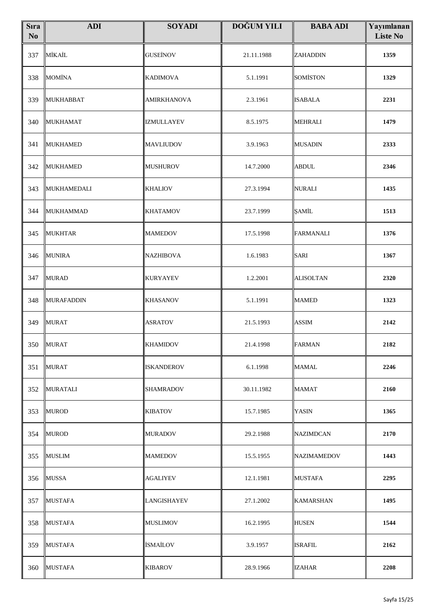| <b>S</b> ıra<br>N <sub>o</sub> | <b>ADI</b>        | <b>SOYADI</b>      | <b>DOĞUM YILI</b> | <b>BABA ADI</b>  | Yayımlanan<br><b>Liste No</b> |
|--------------------------------|-------------------|--------------------|-------------------|------------------|-------------------------------|
| 337                            | MİKAİL            | <b>GUSEINOV</b>    | 21.11.1988        | ZAHADDIN         | 1359                          |
| 338                            | <b>MOMİNA</b>     | <b>KADIMOVA</b>    | 5.1.1991          | SOMİSTON         | 1329                          |
| 339                            | <b>MUKHABBAT</b>  | <b>AMIRKHANOVA</b> | 2.3.1961          | <b>ISABALA</b>   | 2231                          |
| 340                            | <b>MUKHAMAT</b>   | <b>IZMULLAYEV</b>  | 8.5.1975          | MEHRALI          | 1479                          |
| 341                            | <b>MUKHAMED</b>   | <b>MAVLIUDOV</b>   | 3.9.1963          | <b>MUSADIN</b>   | 2333                          |
| 342                            | MUKHAMED          | <b>MUSHUROV</b>    | 14.7.2000         | <b>ABDUL</b>     | 2346                          |
| 343                            | MUKHAMEDALI       | <b>KHALIOV</b>     | 27.3.1994         | NURALI           | 1435                          |
| 344                            | <b>MUKHAMMAD</b>  | <b>KHATAMOV</b>    | 23.7.1999         | ŞAMİL            | 1513                          |
| 345                            | <b>MUKHTAR</b>    | <b>MAMEDOV</b>     | 17.5.1998         | <b>FARMANALI</b> | 1376                          |
| 346                            | <b>MUNIRA</b>     | <b>NAZHIBOVA</b>   | 1.6.1983          | SARI             | 1367                          |
| 347                            | <b>MURAD</b>      | <b>KURYAYEV</b>    | 1.2.2001          | <b>ALISOLTAN</b> | 2320                          |
| 348                            | <b>MURAFADDIN</b> | <b>KHASANOV</b>    | 5.1.1991          | <b>MAMED</b>     | 1323                          |
| 349                            | <b>MURAT</b>      | <b>ASRATOV</b>     | 21.5.1993         | <b>ASSIM</b>     | 2142                          |
|                                | 350 MURAT         | <b>KHAMIDOV</b>    | 21.4.1998         | <b>FARMAN</b>    | 2182                          |
| 351                            | <b>MURAT</b>      | <b>ISKANDEROV</b>  | 6.1.1998          | MAMAL            | 2246                          |
| 352                            | MURATALI          | <b>SHAMRADOV</b>   | 30.11.1982        | MAMAT            | 2160                          |
| 353                            | <b>MUROD</b>      | <b>KIBATOV</b>     | 15.7.1985         | YASIN            | 1365                          |
| 354                            | <b>MUROD</b>      | <b>MURADOV</b>     | 29.2.1988         | NAZIMDCAN        | 2170                          |
| 355                            | <b>MUSLIM</b>     | <b>MAMEDOV</b>     | 15.5.1955         | NAZIMAMEDOV      | 1443                          |
| 356                            | <b>MUSSA</b>      | AGALIYEV           | 12.1.1981         | MUSTAFA          | 2295                          |
| 357                            | <b>MUSTAFA</b>    | <b>LANGISHAYEV</b> | 27.1.2002         | KAMARSHAN        | 1495                          |
| 358                            | <b>MUSTAFA</b>    | <b>MUSLIMOV</b>    | 16.2.1995         | <b>HUSEN</b>     | 1544                          |
| 359                            | <b>MUSTAFA</b>    | <b>İSMAİLOV</b>    | 3.9.1957          | ISRAFIL          | 2162                          |
| 360                            | <b>MUSTAFA</b>    | <b>KIBAROV</b>     | 28.9.1966         | <b>IZAHAR</b>    | 2208                          |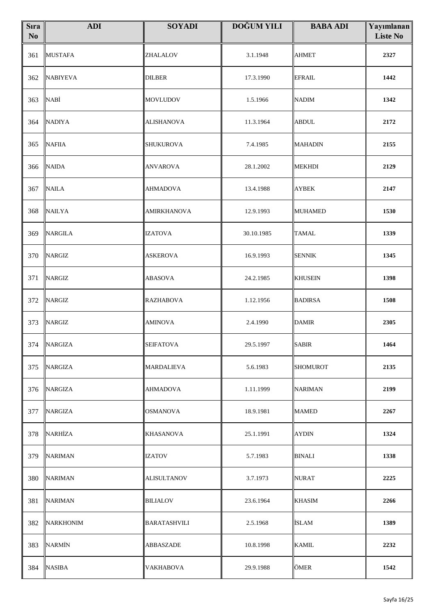| <b>S</b> ıra<br>No | <b>ADI</b>       | <b>SOYADI</b>       | <b>DOĞUM YILI</b> | <b>BABA ADI</b> | Yayımlanan<br><b>Liste No</b> |
|--------------------|------------------|---------------------|-------------------|-----------------|-------------------------------|
| 361                | <b>MUSTAFA</b>   | ZHALALOV            | 3.1.1948          | <b>AHMET</b>    | 2327                          |
| 362                | <b>NABIYEVA</b>  | <b>DILBER</b>       | 17.3.1990         | EFRAIL          | 1442                          |
| 363                | <b>NABİ</b>      | <b>MOVLUDOV</b>     | 1.5.1966          | <b>NADIM</b>    | 1342                          |
| 364                | <b>NADIYA</b>    | <b>ALISHANOVA</b>   | 11.3.1964         | <b>ABDUL</b>    | 2172                          |
| 365                | <b>NAFIIA</b>    | <b>SHUKUROVA</b>    | 7.4.1985          | <b>MAHADIN</b>  | 2155                          |
| 366                | <b>NAIDA</b>     | <b>ANVAROVA</b>     | 28.1.2002         | <b>MEKHDI</b>   | 2129                          |
| 367                | <b>NAILA</b>     | <b>AHMADOVA</b>     | 13.4.1988         | <b>AYBEK</b>    | 2147                          |
| 368                | <b>NAILYA</b>    | <b>AMIRKHANOVA</b>  | 12.9.1993         | <b>MUHAMED</b>  | 1530                          |
| 369                | <b>NARGILA</b>   | <b>IZATOVA</b>      | 30.10.1985        | <b>TAMAL</b>    | 1339                          |
| 370                | <b>NARGIZ</b>    | <b>ASKEROVA</b>     | 16.9.1993         | <b>SENNIK</b>   | 1345                          |
| 371                | <b>NARGIZ</b>    | ABASOVA             | 24.2.1985         | <b>KHUSEIN</b>  | 1398                          |
| 372                | <b>NARGIZ</b>    | <b>RAZHABOVA</b>    | 1.12.1956         | <b>BADIRSA</b>  | 1508                          |
| 373                | <b>NARGIZ</b>    | <b>AMINOVA</b>      | 2.4.1990          | <b>DAMIR</b>    | 2305                          |
|                    | 374 NARGIZA      | <b>SEIFATOVA</b>    | 29.5.1997         | <b>SABIR</b>    | 1464                          |
| 375                | <b>NARGIZA</b>   | MARDALIEVA          | 5.6.1983          | <b>SHOMUROT</b> | 2135                          |
| 376                | NARGIZA          | AHMADOVA            | 1.11.1999         | NARIMAN         | 2199                          |
| 377                | <b>NARGIZA</b>   | OSMANOVA            | 18.9.1981         | <b>MAMED</b>    | 2267                          |
| 378                | <b>NARHİZA</b>   | KHASANOVA           | 25.1.1991         | <b>AYDIN</b>    | 1324                          |
| 379                | <b>NARIMAN</b>   | <b>IZATOV</b>       | 5.7.1983          | <b>BINALI</b>   | 1338                          |
| 380                | <b>NARIMAN</b>   | ALISULTANOV         | 3.7.1973          | <b>NURAT</b>    | 2225                          |
| 381                | <b>NARIMAN</b>   | <b>BILIALOV</b>     | 23.6.1964         | <b>KHASIM</b>   | 2266                          |
| 382                | <b>NARKHONIM</b> | <b>BARATASHVILI</b> | 2.5.1968          | <b>İSLAM</b>    | 1389                          |
| 383                | <b>NARMİN</b>    | ABBASZADE           | 10.8.1998         | <b>KAMIL</b>    | 2232                          |
| 384                | <b>NASIBA</b>    | VAKHABOVA           | 29.9.1988         | ÖMER            | 1542                          |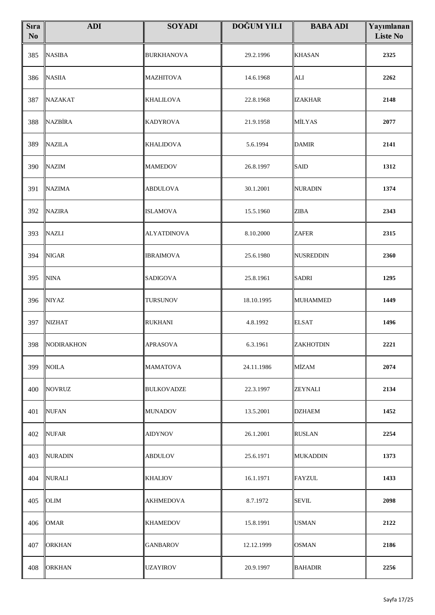| <b>S</b> ıra<br>No | <b>ADI</b>        | <b>SOYADI</b>      | <b>DOĞUM YILI</b> | <b>BABA ADI</b>  | Yayımlanan<br><b>Liste No</b> |
|--------------------|-------------------|--------------------|-------------------|------------------|-------------------------------|
| 385                | <b>NASIBA</b>     | <b>BURKHANOVA</b>  | 29.2.1996         | <b>KHASAN</b>    | 2325                          |
| 386                | <b>NASIIA</b>     | MAZHITOVA          | 14.6.1968         | <b>ALI</b>       | 2262                          |
| 387                | <b>NAZAKAT</b>    | <b>KHALILOVA</b>   | 22.8.1968         | <b>IZAKHAR</b>   | 2148                          |
| 388                | NAZBİRA           | <b>KADYROVA</b>    | 21.9.1958         | MİLYAS           | 2077                          |
| 389                | <b>NAZILA</b>     | <b>KHALIDOVA</b>   | 5.6.1994          | <b>DAMIR</b>     | 2141                          |
| 390                | <b>NAZIM</b>      | <b>MAMEDOV</b>     | 26.8.1997         | <b>SAID</b>      | 1312                          |
| 391                | <b>NAZIMA</b>     | <b>ABDULOVA</b>    | 30.1.2001         | <b>NURADIN</b>   | 1374                          |
| 392                | <b>NAZIRA</b>     | <b>ISLAMOVA</b>    | 15.5.1960         | <b>ZIBA</b>      | 2343                          |
| 393                | <b>NAZLI</b>      | <b>ALYATDINOVA</b> | 8.10.2000         | <b>ZAFER</b>     | 2315                          |
| 394                | <b>NIGAR</b>      | <b>IBRAIMOVA</b>   | 25.6.1980         | <b>NUSREDDIN</b> | 2360                          |
| 395                | <b>NINA</b>       | SADIGOVA           | 25.8.1961         | <b>SADRI</b>     | 1295                          |
| 396                | <b>NIYAZ</b>      | <b>TURSUNOV</b>    | 18.10.1995        | <b>MUHAMMED</b>  | 1449                          |
| 397                | <b>NIZHAT</b>     | <b>RUKHANI</b>     | 4.8.1992          | <b>ELSAT</b>     | 1496                          |
| 398                | <b>NODIRAKHON</b> | <b>APRASOVA</b>    | 6.3.1961          | ZAKHOTDIN        | 2221                          |
| 399                | NOILA             | MAMATOVA           | 24.11.1986        | MİZAM            | 2074                          |
| 400                | NOVRUZ            | <b>BULKOVADZE</b>  | 22.3.1997         | ZEYNALI          | 2134                          |
| 401                | <b>NUFAN</b>      | <b>MUNADOV</b>     | 13.5.2001         | <b>DZHAEM</b>    | 1452                          |
| 402                | NUFAR             | AIDYNOV            | 26.1.2001         | <b>RUSLAN</b>    | 2254                          |
| 403                | <b>NURADIN</b>    | <b>ABDULOV</b>     | 25.6.1971         | <b>MUKADDIN</b>  | 1373                          |
| 404                | NURALI            | KHALIOV            | 16.1.1971         | <b>FAYZUL</b>    | 1433                          |
| 405                | OLIM              | <b>AKHMEDOVA</b>   | 8.7.1972          | <b>SEVIL</b>     | 2098                          |
| 406                | <b>OMAR</b>       | <b>KHAMEDOV</b>    | 15.8.1991         | <b>USMAN</b>     | 2122                          |
| 407                | ORKHAN            | GANBAROV           | 12.12.1999        | OSMAN            | 2186                          |
| 408                | <b>ORKHAN</b>     | <b>UZAYIROV</b>    | 20.9.1997         | <b>BAHADIR</b>   | 2256                          |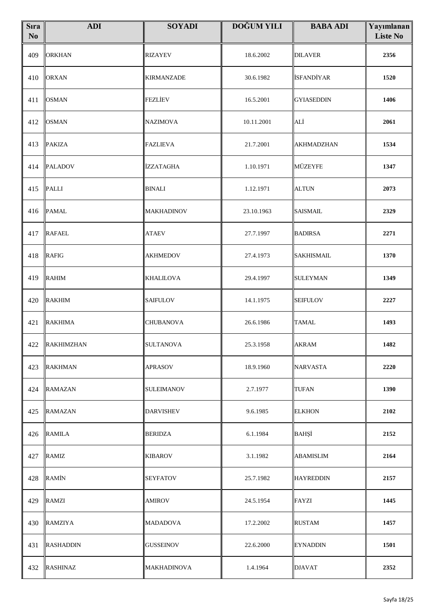| <b>S</b> ıra<br>No | <b>ADI</b>       | <b>SOYADI</b>      | <b>DOĞUM YILI</b> | <b>BABA ADI</b>   | Yayımlanan<br><b>Liste No</b> |
|--------------------|------------------|--------------------|-------------------|-------------------|-------------------------------|
| 409                | <b>ORKHAN</b>    | <b>RIZAYEV</b>     | 18.6.2002         | <b>DILAVER</b>    | 2356                          |
| 410                | <b>ORXAN</b>     | <b>KIRMANZADE</b>  | 30.6.1982         | <b>İSFANDİYAR</b> | 1520                          |
| 411                | <b>OSMAN</b>     | FEZLİEV            | 16.5.2001         | <b>GYIASEDDIN</b> | 1406                          |
| 412                | <b>OSMAN</b>     | NAZIMOVA           | 10.11.2001        | ALİ               | 2061                          |
| 413                | <b>PAKIZA</b>    | <b>FAZLIEVA</b>    | 21.7.2001         | <b>AKHMADZHAN</b> | 1534                          |
| 414                | <b>PALADOV</b>   | İZZATAGHA          | 1.10.1971         | MÜZEYFE           | 1347                          |
| 415                | <b>PALLI</b>     | <b>BINALI</b>      | 1.12.1971         | <b>ALTUN</b>      | 2073                          |
| 416                | <b>PAMAL</b>     | MAKHADINOV         | 23.10.1963        | <b>SAISMAIL</b>   | 2329                          |
| 417                | <b>RAFAEL</b>    | <b>ATAEV</b>       | 27.7.1997         | <b>BADIRSA</b>    | 2271                          |
| 418                | <b>RAFIG</b>     | <b>AKHMEDOV</b>    | 27.4.1973         | <b>SAKHISMAIL</b> | 1370                          |
| 419                | <b>RAHIM</b>     | <b>KHALILOVA</b>   | 29.4.1997         | <b>SULEYMAN</b>   | 1349                          |
| 420                | <b>RAKHIM</b>    | SAIFULOV           | 14.1.1975         | <b>SEIFULOV</b>   | 2227                          |
| 421                | <b>RAKHIMA</b>   | <b>CHUBANOVA</b>   | 26.6.1986         | <b>TAMAL</b>      | 1493                          |
|                    | 422 RAKHIMZHAN   | <b>SULTANOVA</b>   | 25.3.1958         | <b>AKRAM</b>      | 1482                          |
| 423                | <b>RAKHMAN</b>   | APRASOV            | 18.9.1960         | <b>NARVASTA</b>   | 2220                          |
| 424                | <b>RAMAZAN</b>   | <b>SULEIMANOV</b>  | 2.7.1977          | <b>TUFAN</b>      | 1390                          |
| 425                | <b>RAMAZAN</b>   | <b>DARVISHEV</b>   | 9.6.1985          | <b>ELKHON</b>     | 2102                          |
| 426                | <b>RAMILA</b>    | <b>BERIDZA</b>     | 6.1.1984          | BAHŞİ             | 2152                          |
| 427                | <b>RAMIZ</b>     | <b>KIBAROV</b>     | 3.1.1982          | <b>ABAMISLIM</b>  | 2164                          |
| 428                | <b>RAMIN</b>     | SEYFATOV           | 25.7.1982         | <b>HAYREDDIN</b>  | 2157                          |
| 429                | <b>RAMZI</b>     | <b>AMIROV</b>      | 24.5.1954         | <b>FAYZI</b>      | 1445                          |
| 430                | <b>RAMZIYA</b>   | <b>MADADOVA</b>    | 17.2.2002         | <b>RUSTAM</b>     | 1457                          |
| 431                | <b>RASHADDIN</b> | <b>GUSSEINOV</b>   | 22.6.2000         | <b>EYNADDIN</b>   | 1501                          |
| 432                | <b>RASHINAZ</b>  | <b>MAKHADINOVA</b> | 1.4.1964          | <b>DJAVAT</b>     | 2352                          |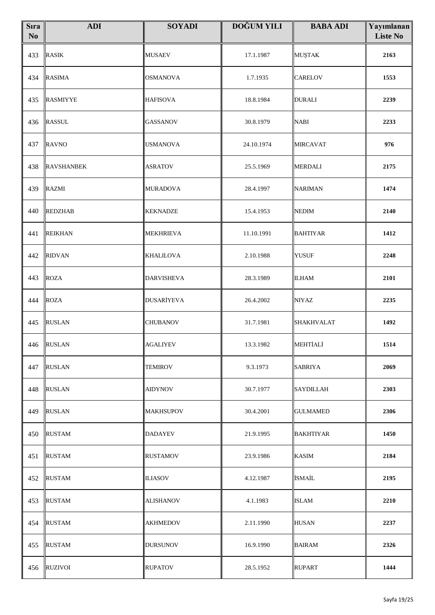| <b>S</b> ıra<br>No | <b>ADI</b>        | <b>SOYADI</b>     | <b>DOĞUM YILI</b> | <b>BABA ADI</b>   | Yayımlanan<br><b>Liste No</b> |
|--------------------|-------------------|-------------------|-------------------|-------------------|-------------------------------|
| 433                | <b>RASIK</b>      | <b>MUSAEV</b>     | 17.1.1987         | <b>MUŞTAK</b>     | 2163                          |
| 434                | <b>RASIMA</b>     | <b>OSMANOVA</b>   | 1.7.1935          | <b>CARELOV</b>    | 1553                          |
| 435                | <b>RASMIYYE</b>   | <b>HAFISOVA</b>   | 18.8.1984         | <b>DURALI</b>     | 2239                          |
| 436                | <b>RASSUL</b>     | <b>GASSANOV</b>   | 30.8.1979         | <b>NABI</b>       | 2233                          |
| 437                | <b>RAVNO</b>      | <b>USMANOVA</b>   | 24.10.1974        | <b>MIRCAVAT</b>   | 976                           |
| 438                | <b>RAVSHANBEK</b> | ASRATOV           | 25.5.1969         | <b>MERDALI</b>    | 2175                          |
| 439                | <b>RAZMI</b>      | <b>MURADOVA</b>   | 28.4.1997         | <b>NARIMAN</b>    | 1474                          |
| 440                | <b>REDZHAB</b>    | <b>KEKNADZE</b>   | 15.4.1953         | <b>NEDIM</b>      | 2140                          |
| 441                | <b>REIKHAN</b>    | <b>MEKHRIEVA</b>  | 11.10.1991        | <b>BAHTIYAR</b>   | 1412                          |
| 442                | <b>RIDVAN</b>     | <b>KHALILOVA</b>  | 2.10.1988         | <b>YUSUF</b>      | 2248                          |
| 443                | <b>ROZA</b>       | <b>DARVISHEVA</b> | 28.3.1989         | <b>ILHAM</b>      | 2101                          |
| 444                | <b>ROZA</b>       | <b>DUSARİYEVA</b> | 26.4.2002         | <b>NIYAZ</b>      | 2235                          |
| 445                | <b>RUSLAN</b>     | CHUBANOV          | 31.7.1981         | <b>SHAKHVALAT</b> | 1492                          |
|                    | 446 RUSLAN        | <b>AGALIYEV</b>   | 13.3.1982         | MEHTİALİ          | 1514                          |
| 447                | <b>RUSLAN</b>     | <b>TEMIROV</b>    | 9.3.1973          | <b>SABRIYA</b>    | 2069                          |
| 448                | <b>RUSLAN</b>     | <b>AIDYNOV</b>    | 30.7.1977         | SAYDILLAH         | 2303                          |
| 449                | <b>RUSLAN</b>     | MAKHSUPOV         | 30.4.2001         | <b>GULMAMED</b>   | 2306                          |
| 450                | <b>RUSTAM</b>     | DADAYEV           | 21.9.1995         | <b>BAKHTIYAR</b>  | 1450                          |
| 451                | <b>RUSTAM</b>     | <b>RUSTAMOV</b>   | 23.9.1986         | <b>KASIM</b>      | 2184                          |
| 452                | <b>RUSTAM</b>     | <b>ILIASOV</b>    | 4.12.1987         | İSMAİL            | 2195                          |
| 453                | <b>RUSTAM</b>     | <b>ALISHANOV</b>  | 4.1.1983          | <b>ISLAM</b>      | 2210                          |
| 454                | <b>RUSTAM</b>     | AKHMEDOV          | 2.11.1990         | <b>HUSAN</b>      | 2237                          |
| 455                | <b>RUSTAM</b>     | <b>DURSUNOV</b>   | 16.9.1990         | <b>BAIRAM</b>     | 2326                          |
| 456                | <b>RUZIVOI</b>    | <b>RUPATOV</b>    | 28.5.1952         | <b>RUPART</b>     | 1444                          |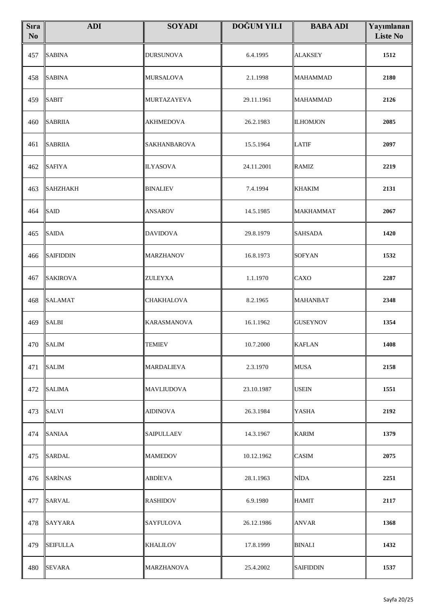| <b>S</b> ıra<br>No | <b>ADI</b>       | <b>SOYADI</b>      | <b>DOĞUM YILI</b> | <b>BABA ADI</b>  | Yayımlanan<br><b>Liste No</b> |
|--------------------|------------------|--------------------|-------------------|------------------|-------------------------------|
| 457                | <b>SABINA</b>    | <b>DURSUNOVA</b>   | 6.4.1995          | <b>ALAKSEY</b>   | 1512                          |
| 458                | <b>SABINA</b>    | MURSALOVA          | 2.1.1998          | <b>MAHAMMAD</b>  | 2180                          |
| 459                | <b>SABIT</b>     | MURTAZAYEVA        | 29.11.1961        | <b>MAHAMMAD</b>  | 2126                          |
| 460                | <b>SABRIIA</b>   | <b>AKHMEDOVA</b>   | 26.2.1983         | <b>ILHOMJON</b>  | 2085                          |
| 461                | <b>SABRIIA</b>   | SAKHANBAROVA       | 15.5.1964         | <b>LATIF</b>     | 2097                          |
| 462                | <b>SAFIYA</b>    | <b>ILYASOVA</b>    | 24.11.2001        | <b>RAMIZ</b>     | 2219                          |
| 463                | <b>SAHZHAKH</b>  | <b>BINALIEV</b>    | 7.4.1994          | <b>KHAKIM</b>    | 2131                          |
| 464                | <b>SAID</b>      | <b>ANSAROV</b>     | 14.5.1985         | <b>MAKHAMMAT</b> | 2067                          |
| 465                | <b>SAIDA</b>     | <b>DAVIDOVA</b>    | 29.8.1979         | <b>SAHSADA</b>   | 1420                          |
| 466                | <b>SAIFIDDIN</b> | <b>MARZHANOV</b>   | 16.8.1973         | SOFYAN           | 1532                          |
| 467                | <b>SAKIROVA</b>  | ZULEYXA            | 1.1.1970          | <b>CAXO</b>      | 2287                          |
| 468                | <b>SALAMAT</b>   | CHAKHALOVA         | 8.2.1965          | <b>MAHANBAT</b>  | 2348                          |
| 469                | <b>SALBI</b>     | <b>KARASMANOVA</b> | 16.1.1962         | <b>GUSEYNOV</b>  | 1354                          |
|                    | 470 SALIM        | <b>TEMIEV</b>      | 10.7.2000         | <b>KAFLAN</b>    | 1408                          |
| 471                | <b>SALIM</b>     | MARDALIEVA         | 2.3.1970          | <b>MUSA</b>      | 2158                          |
| 472                | SALIMA           | MAVLIUDOVA         | 23.10.1987        | <b>USEIN</b>     | 1551                          |
| 473                | <b>SALVI</b>     | <b>AIDINOVA</b>    | 26.3.1984         | <b>YASHA</b>     | 2192                          |
| 474                | <b>SANIAA</b>    | SAIPULLAEV         | 14.3.1967         | <b>KARIM</b>     | 1379                          |
| 475                | <b>SARDAL</b>    | <b>MAMEDOV</b>     | 10.12.1962        | <b>CASIM</b>     | 2075                          |
| 476                | <b>SARINAS</b>   | ABDİEVA            | 28.1.1963         | <b>NİDA</b>      | 2251                          |
| 477                | <b>SARVAL</b>    | <b>RASHIDOV</b>    | 6.9.1980          | <b>HAMIT</b>     | 2117                          |
| 478                | <b>SAYYARA</b>   | <b>SAYFULOVA</b>   | 26.12.1986        | <b>ANVAR</b>     | 1368                          |
| 479                | <b>SEIFULLA</b>  | <b>KHALILOV</b>    | 17.8.1999         | <b>BINALI</b>    | 1432                          |
| 480                | <b>SEVARA</b>    | <b>MARZHANOVA</b>  | 25.4.2002         | <b>SAIFIDDIN</b> | 1537                          |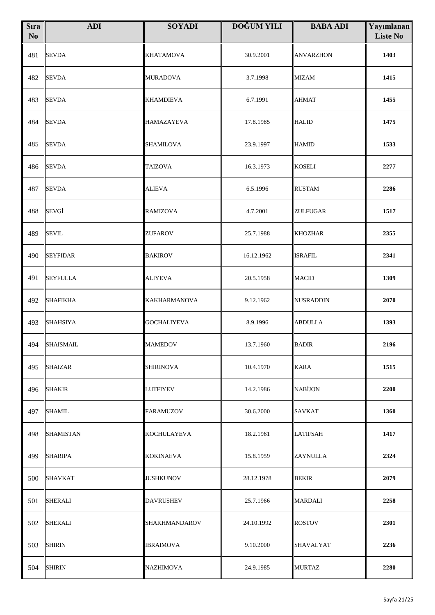| <b>S</b> ıra<br>N <sub>o</sub> | <b>ADI</b>       | <b>SOYADI</b>       | DOĞUM YILI | <b>BABA ADI</b>  | Yayımlanan<br><b>Liste No</b> |
|--------------------------------|------------------|---------------------|------------|------------------|-------------------------------|
| 481                            | <b>SEVDA</b>     | <b>KHATAMOVA</b>    | 30.9.2001  | <b>ANVARZHON</b> | 1403                          |
| 482                            | SEVDA            | <b>MURADOVA</b>     | 3.7.1998   | <b>MIZAM</b>     | 1415                          |
| 483                            | <b>SEVDA</b>     | <b>KHAMDIEVA</b>    | 6.7.1991   | <b>AHMAT</b>     | 1455                          |
| 484                            | <b>SEVDA</b>     | <b>HAMAZAYEVA</b>   | 17.8.1985  | <b>HALID</b>     | 1475                          |
| 485                            | <b>SEVDA</b>     | <b>SHAMILOVA</b>    | 23.9.1997  | <b>HAMID</b>     | 1533                          |
| 486                            | SEVDA            | <b>TAIZOVA</b>      | 16.3.1973  | <b>KOSELI</b>    | 2277                          |
| 487                            | <b>SEVDA</b>     | <b>ALIEVA</b>       | 6.5.1996   | <b>RUSTAM</b>    | 2286                          |
| 488                            | SEVGİ            | <b>RAMIZOVA</b>     | 4.7.2001   | <b>ZULFUGAR</b>  | 1517                          |
| 489                            | <b>SEVIL</b>     | <b>ZUFAROV</b>      | 25.7.1988  | <b>KHOZHAR</b>   | 2355                          |
| 490                            | <b>SEYFIDAR</b>  | <b>BAKIROV</b>      | 16.12.1962 | <b>ISRAFIL</b>   | 2341                          |
| 491                            | <b>SEYFULLA</b>  | <b>ALIYEVA</b>      | 20.5.1958  | <b>MACID</b>     | 1309                          |
| 492                            | <b>SHAFIKHA</b>  | <b>KAKHARMANOVA</b> | 9.12.1962  | NUSRADDIN        | 2070                          |
| 493                            | <b>SHAHSIYA</b>  | <b>GOCHALIYEVA</b>  | 8.9.1996   | <b>ABDULLA</b>   | 1393                          |
| 494                            | <b>SHAISMAIL</b> | <b>MAMEDOV</b>      | 13.7.1960  | <b>BADIR</b>     | 2196                          |
| 495                            | <b>SHAIZAR</b>   | <b>SHIRINOVA</b>    | 10.4.1970  | <b>KARA</b>      | 1515                          |
| 496                            | SHAKIR           | LUTFIYEV            | 14.2.1986  | <b>NABIJON</b>   | 2200                          |
| 497                            | SHAMIL           | <b>FARAMUZOV</b>    | 30.6.2000  | <b>SAVKAT</b>    | 1360                          |
| 498                            | SHAMISTAN        | <b>KOCHULAYEVA</b>  | 18.2.1961  | <b>LATIFSAH</b>  | 1417                          |
| 499                            | SHARIPA          | <b>KOKINAEVA</b>    | 15.8.1959  | <b>ZAYNULLA</b>  | 2324                          |
| 500                            | SHAVKAT          | JUSHKUNOV           | 28.12.1978 | <b>BEKIR</b>     | 2079                          |
| 501                            | SHERALI          | <b>DAVRUSHEV</b>    | 25.7.1966  | <b>MARDALI</b>   | 2258                          |
| 502                            | <b>SHERALI</b>   | SHAKHMANDAROV       | 24.10.1992 | <b>ROSTOV</b>    | 2301                          |
| 503                            | <b>SHIRIN</b>    | <b>IBRAIMOVA</b>    | 9.10.2000  | <b>SHAVALYAT</b> | 2236                          |
| 504                            | <b>SHIRIN</b>    | <b>NAZHIMOVA</b>    | 24.9.1985  | <b>MURTAZ</b>    | 2280                          |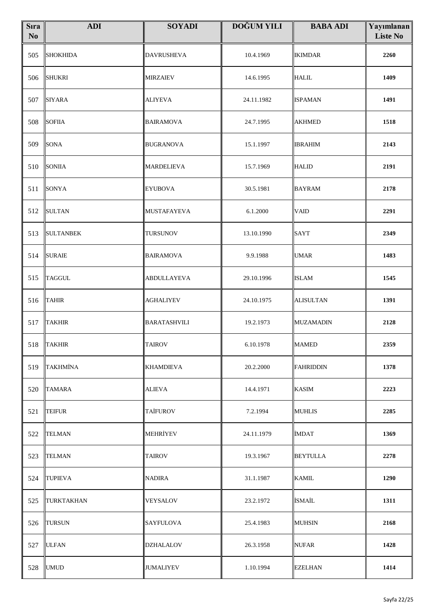| <b>S</b> ıra<br>N <sub>o</sub> | <b>ADI</b>        | <b>SOYADI</b>       | DOĞUM YILI | <b>BABA ADI</b>  | Yayımlanan<br><b>Liste No</b> |
|--------------------------------|-------------------|---------------------|------------|------------------|-------------------------------|
| 505                            | <b>SHOKHIDA</b>   | <b>DAVRUSHEVA</b>   | 10.4.1969  | <b>IKIMDAR</b>   | 2260                          |
| 506                            | <b>SHUKRI</b>     | MIRZAIEV            | 14.6.1995  | <b>HALIL</b>     | 1409                          |
| 507                            | <b>SIYARA</b>     | <b>ALIYEVA</b>      | 24.11.1982 | <b>ISPAMAN</b>   | 1491                          |
| 508                            | <b>SOFIIA</b>     | <b>BAIRAMOVA</b>    | 24.7.1995  | <b>AKHMED</b>    | 1518                          |
| 509                            | <b>SONA</b>       | <b>BUGRANOVA</b>    | 15.1.1997  | <b>IBRAHIM</b>   | 2143                          |
| 510                            | <b>SONIIA</b>     | <b>MARDELIEVA</b>   | 15.7.1969  | <b>HALID</b>     | 2191                          |
| 511                            | <b>SONYA</b>      | <b>EYUBOVA</b>      | 30.5.1981  | <b>BAYRAM</b>    | 2178                          |
| 512                            | <b>SULTAN</b>     | MUSTAFAYEVA         | 6.1.2000   | <b>VAID</b>      | 2291                          |
| 513                            | <b>SULTANBEK</b>  | <b>TURSUNOV</b>     | 13.10.1990 | <b>SAYT</b>      | 2349                          |
| 514                            | <b>SURAIE</b>     | <b>BAIRAMOVA</b>    | 9.9.1988   | <b>UMAR</b>      | 1483                          |
| 515                            | <b>TAGGUL</b>     | <b>ABDULLAYEVA</b>  | 29.10.1996 | <b>ISLAM</b>     | 1545                          |
| 516                            | <b>TAHIR</b>      | <b>AGHALIYEV</b>    | 24.10.1975 | <b>ALISULTAN</b> | 1391                          |
| 517                            | <b>TAKHIR</b>     | <b>BARATASHVILI</b> | 19.2.1973  | <b>MUZAMADIN</b> | 2128                          |
|                                | 518 TAKHIR        | <b>TAIROV</b>       | 6.10.1978  | <b>MAMED</b>     | 2359                          |
| 519                            | <b>TAKHMINA</b>   | <b>KHAMDIEVA</b>    | 20.2.2000  | <b>FAHRIDDIN</b> | 1378                          |
| 520                            | <b>TAMARA</b>     | <b>ALIEVA</b>       | 14.4.1971  | <b>KASIM</b>     | 2223                          |
| 521                            | <b>TEIFUR</b>     | <b>TAİFUROV</b>     | 7.2.1994   | <b>MUHLIS</b>    | 2285                          |
| 522                            | <b>TELMAN</b>     | <b>MEHRİYEV</b>     | 24.11.1979 | <b>İMDAT</b>     | 1369                          |
| 523                            | <b>TELMAN</b>     | <b>TAIROV</b>       | 19.3.1967  | <b>BEYTULLA</b>  | 2278                          |
| 524                            | <b>TUPIEVA</b>    | <b>NADIRA</b>       | 31.1.1987  | <b>KAMIL</b>     | 1290                          |
| 525                            | <b>TURKTAKHAN</b> | <b>VEYSALOV</b>     | 23.2.1972  | <b>İSMAİL</b>    | 1311                          |
| 526                            | <b>TURSUN</b>     | <b>SAYFULOVA</b>    | 25.4.1983  | <b>MUHSIN</b>    | 2168                          |
| 527                            | <b>ULFAN</b>      | <b>DZHALALOV</b>    | 26.3.1958  | NUFAR            | 1428                          |
| 528                            | <b>UMUD</b>       | <b>JUMALIYEV</b>    | 1.10.1994  | <b>EZELHAN</b>   | 1414                          |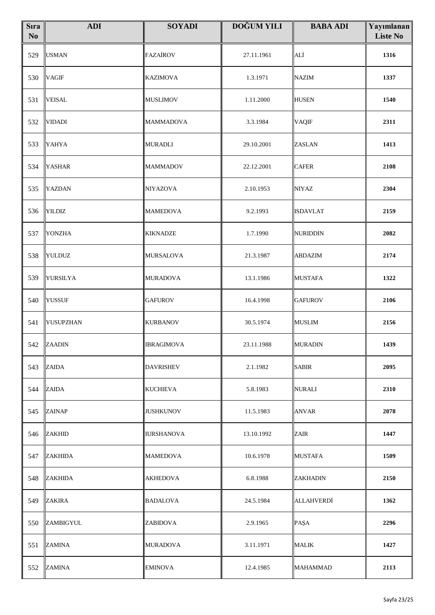| <b>S</b> ıra<br>N <sub>0</sub> | <b>ADI</b>     | <b>SOYADI</b>     | <b>DOĞUM YILI</b> | <b>BABA ADI</b>   | Yayımlanan<br><b>Liste No</b> |
|--------------------------------|----------------|-------------------|-------------------|-------------------|-------------------------------|
| 529                            | <b>USMAN</b>   | <b>FAZAİROV</b>   | 27.11.1961        | ALİ               | 1316                          |
| 530                            | <b>VAGIF</b>   | <b>KAZIMOVA</b>   | 1.3.1971          | <b>NAZIM</b>      | 1337                          |
| 531                            | <b>VEISAL</b>  | <b>MUSLIMOV</b>   | 1.11.2000         | <b>HUSEN</b>      | 1540                          |
| 532                            | VIDADI         | <b>MAMMADOVA</b>  | 3.3.1984          | <b>VAQIF</b>      | 2311                          |
| 533                            | YAHYA          | <b>MURADLI</b>    | 29.10.2001        | ZASLAN            | 1413                          |
| 534                            | <b>YASHAR</b>  | <b>MAMMADOV</b>   | 22.12.2001        | <b>CAFER</b>      | 2108                          |
| 535                            | YAZDAN         | <b>NIYAZOVA</b>   | 2.10.1953         | <b>NIYAZ</b>      | 2304                          |
| 536                            | <b>YILDIZ</b>  | <b>MAMEDOVA</b>   | 9.2.1993          | <b>ISDAVLAT</b>   | 2159                          |
| 537                            | <b>YONZHA</b>  | <b>KIKNADZE</b>   | 1.7.1990          | <b>NURIDDIN</b>   | 2082                          |
| 538                            | <b>YULDUZ</b>  | <b>MURSALOVA</b>  | 21.3.1987         | <b>ABDAZIM</b>    | 2174                          |
| 539                            | YURSILYA       | <b>MURADOVA</b>   | 13.1.1986         | <b>MUSTAFA</b>    | 1322                          |
| 540                            | <b>YUSSUF</b>  | <b>GAFUROV</b>    | 16.4.1998         | <b>GAFUROV</b>    | 2106                          |
| 541                            | YUSUPZHAN      | <b>KURBANOV</b>   | 30.5.1974         | <b>MUSLIM</b>     | 2156                          |
|                                | 542 ZAADIN     | <b>IBRAGIMOVA</b> | 23.11.1988        | <b>MURADIN</b>    | 1439                          |
| 543                            | <b>ZAIDA</b>   | <b>DAVRISHEV</b>  | 2.1.1982          | <b>SABIR</b>      | 2095                          |
| 544                            | ZAIDA          | <b>KUCHIEVA</b>   | 5.8.1983          | NURALI            | 2310                          |
| 545                            | ZAINAP         | <b>JUSHKUNOV</b>  | 11.5.1983         | <b>ANVAR</b>      | 2078                          |
| 546                            | <b>ZAKHID</b>  | <b>IURSHANOVA</b> | 13.10.1992        | <b>ZAIR</b>       | 1447                          |
| 547                            | <b>ZAKHIDA</b> | <b>MAMEDOVA</b>   | 10.6.1978         | <b>MUSTAFA</b>    | 1509                          |
| 548                            | ZAKHIDA        | <b>AKHEDOVA</b>   | 6.8.1988          | <b>ZAKHADIN</b>   | 2150                          |
| 549                            | ZAKIRA         | <b>BADALOVA</b>   | 24.5.1984         | <b>ALLAHVERDİ</b> | 1362                          |
| 550                            | ZAMBIGYUL      | ZABIDOVA          | 2.9.1965          | PAŞA              | 2296                          |
| 551                            | <b>ZAMINA</b>  | <b>MURADOVA</b>   | 3.11.1971         | <b>MALIK</b>      | 1427                          |
| 552                            | <b>ZAMINA</b>  | <b>EMINOVA</b>    | 12.4.1985         | <b>MAHAMMAD</b>   | 2113                          |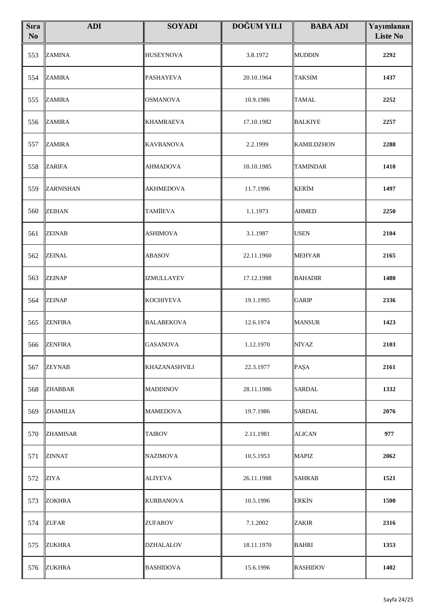| <b>S</b> ıra<br>No | <b>ADI</b>       | <b>SOYADI</b>        | <b>DOĞUM YILI</b> | <b>BABA ADI</b>   | Yayımlanan<br><b>Liste No</b> |
|--------------------|------------------|----------------------|-------------------|-------------------|-------------------------------|
| 553                | <b>ZAMINA</b>    | <b>HUSEYNOVA</b>     | 3.8.1972          | <b>MUDDIN</b>     | 2292                          |
| 554                | <b>ZAMIRA</b>    | <b>PASHAYEVA</b>     | 20.10.1964        | <b>TAKSIM</b>     | 1437                          |
| 555                | <b>ZAMIRA</b>    | <b>OSMANOVA</b>      | 10.9.1986         | <b>TAMAL</b>      | 2252                          |
| 556                | <b>ZAMIRA</b>    | <b>KHAMRAEVA</b>     | 17.10.1982        | <b>BALKIYE</b>    | 2257                          |
| 557                | <b>ZAMIRA</b>    | <b>KAVBANOVA</b>     | 2.2.1999          | <b>KAMILDZHON</b> | 2288                          |
| 558                | ZARIFA           | <b>AHMADOVA</b>      | 10.10.1985        | <b>TAMINDAR</b>   | 1410                          |
| 559                | <b>ZARNISHAN</b> | <b>AKHMEDOVA</b>     | 11.7.1996         | <b>KERİM</b>      | 1497                          |
| 560                | <b>ZEIHAN</b>    | <b>TAMİİEVA</b>      | 1.1.1973          | <b>AHMED</b>      | 2250                          |
| 561                | <b>ZEINAB</b>    | <b>ASHIMOVA</b>      | 3.1.1987          | <b>USEN</b>       | 2104                          |
| 562                | <b>ZEINAL</b>    | ABASOV               | 22.11.1960        | <b>MEHYAR</b>     | 2165                          |
| 563                | <b>ZEINAP</b>    | IZMULLAYEV           | 17.12.1988        | <b>BAHADIR</b>    | 1480                          |
| 564                | <b>ZEINAP</b>    | <b>KOCHIYEVA</b>     | 19.1.1995         | <b>GARIP</b>      | 2336                          |
| 565                | <b>ZENFIRA</b>   | <b>BALABEKOVA</b>    | 12.6.1974         | <b>MANSUR</b>     | 1423                          |
|                    | 566 ZENFIRA      | <b>GASANOVA</b>      | 1.12.1970         | NİYAZ             | 2103                          |
| 567                | <b>ZEYNAB</b>    | <b>KHAZANASHVILI</b> | 22.3.1977         | PAŞA              | 2161                          |
| 568                | <b>ZHABBAR</b>   | <b>MADDINOV</b>      | 28.11.1986        | <b>SARDAL</b>     | 1332                          |
| 569                | <b>ZHAMILIA</b>  | <b>MAMEDOVA</b>      | 19.7.1986         | <b>SARDAL</b>     | 2076                          |
| 570                | <b>ZHAMISAR</b>  | <b>TAIROV</b>        | 2.11.1981         | <b>ALICAN</b>     | 977                           |
| 571                | <b>ZINNAT</b>    | <b>NAZIMOVA</b>      | 10.5.1953         | <b>MAPIZ</b>      | 2062                          |
| 572                | <b>ZIYA</b>      | <b>ALIYEVA</b>       | 26.11.1988        | <b>SAHRAB</b>     | 1521                          |
| 573                | <b>ZOKHRA</b>    | <b>KURBANOVA</b>     | 10.5.1996         | <b>ERKİN</b>      | 1500                          |
| 574                | <b>ZUFAR</b>     | ZUFAROV              | 7.1.2002          | ZAKIR             | 2316                          |
| 575                | <b>ZUKHRA</b>    | DZHALALOV            | 18.11.1970        | <b>BAHRI</b>      | 1353                          |
| 576                | <b>ZUKHRA</b>    | <b>BASHIDOVA</b>     | 15.6.1996         | <b>RASHIDOV</b>   | 1402                          |